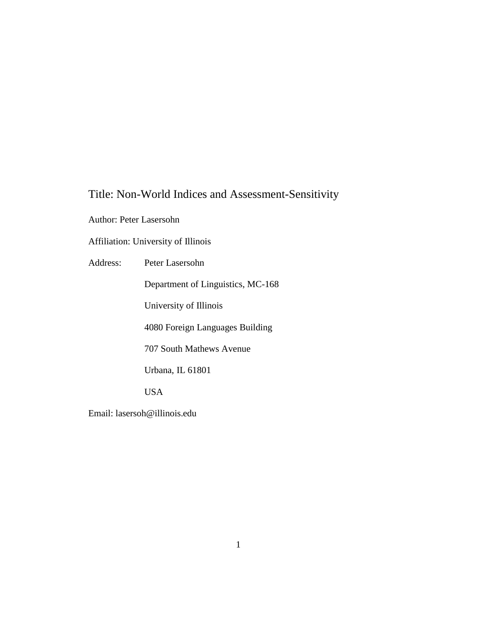# Title: Non-World Indices and Assessment-Sensitivity

Author: Peter Lasersohn

Affiliation: University of Illinois

Address: Peter Lasersohn

Department of Linguistics, MC-168

University of Illinois

4080 Foreign Languages Building

707 South Mathews Avenue

Urbana, IL 61801

USA

Email: lasersoh@illinois.edu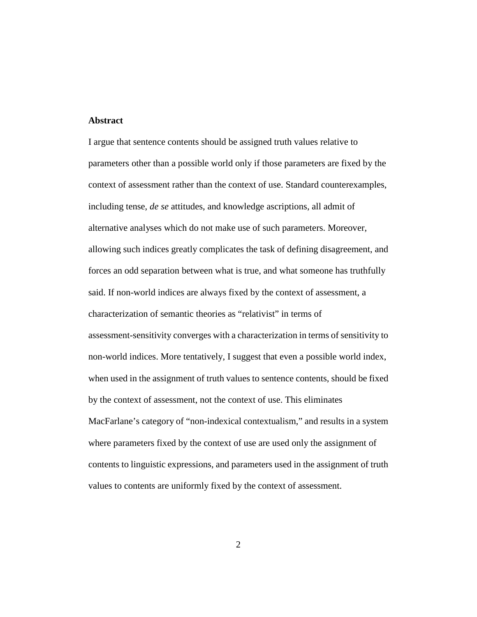#### **Abstract**

I argue that sentence contents should be assigned truth values relative to parameters other than a possible world only if those parameters are fixed by the context of assessment rather than the context of use. Standard counterexamples, including tense, *de se* attitudes, and knowledge ascriptions, all admit of alternative analyses which do not make use of such parameters. Moreover, allowing such indices greatly complicates the task of defining disagreement, and forces an odd separation between what is true, and what someone has truthfully said. If non-world indices are always fixed by the context of assessment, a characterization of semantic theories as "relativist" in terms of assessment-sensitivity converges with a characterization in terms of sensitivity to non-world indices. More tentatively, I suggest that even a possible world index, when used in the assignment of truth values to sentence contents, should be fixed by the context of assessment, not the context of use. This eliminates MacFarlane's category of "non-indexical contextualism," and results in a system where parameters fixed by the context of use are used only the assignment of contents to linguistic expressions, and parameters used in the assignment of truth values to contents are uniformly fixed by the context of assessment.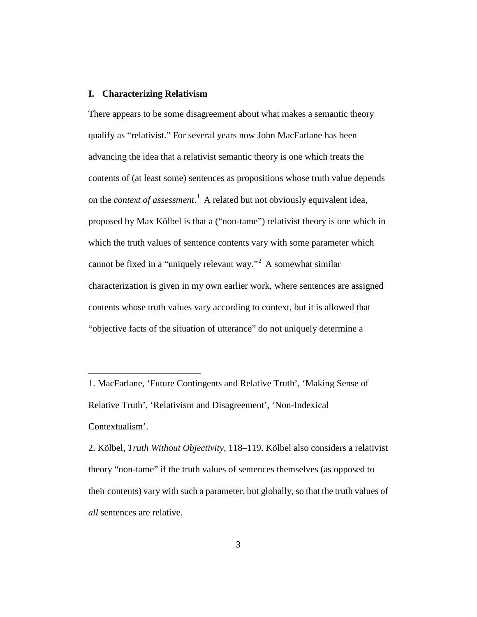### **I. Characterizing Relativism**

 $\overline{a}$ 

There appears to be some disagreement about what makes a semantic theory qualify as "relativist." For several years now John MacFarlane has been advancing the idea that a relativist semantic theory is one which treats the contents of (at least some) sentences as propositions whose truth value depends on the *context of assessment*. [1](#page-2-0) A related but not obviously equivalent idea, proposed by Max Kölbel is that a ("non-tame") relativist theory is one which in which the truth values of sentence contents vary with some parameter which cannot be fixed in a "uniquely relevant way."[2](#page-2-1) A somewhat similar characterization is given in my own earlier work, where sentences are assigned contents whose truth values vary according to context, but it is allowed that "objective facts of the situation of utterance" do not uniquely determine a

<span id="page-2-0"></span><sup>1.</sup> MacFarlane, 'Future Contingents and Relative Truth', 'Making Sense of Relative Truth', 'Relativism and Disagreement', 'Non-Indexical Contextualism'.

<span id="page-2-1"></span><sup>2.</sup> Kölbel, *Truth Without Objectivity*, 118–119. Kölbel also considers a relativist theory "non-tame" if the truth values of sentences themselves (as opposed to their contents) vary with such a parameter, but globally, so that the truth values of *all* sentences are relative.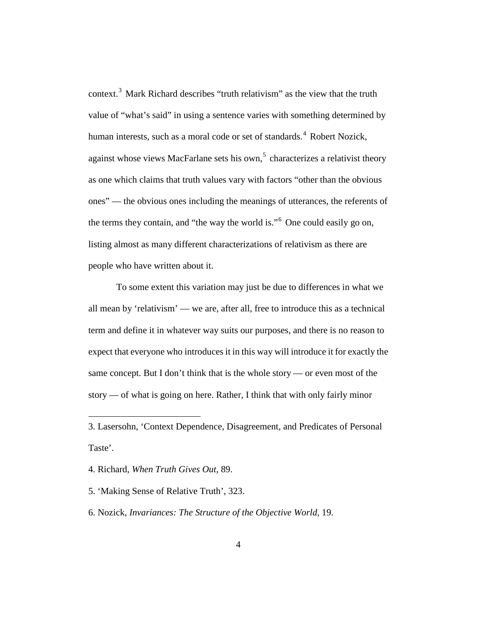context.[3](#page-3-0) Mark Richard describes "truth relativism" as the view that the truth value of "what's said" in using a sentence varies with something determined by human interests, such as a moral code or set of standards.<sup>[4](#page-3-1)</sup> Robert Nozick, against whose views MacFarlane sets his own,<sup>[5](#page-3-2)</sup> characterizes a relativist theory as one which claims that truth values vary with factors "other than the obvious ones" — the obvious ones including the meanings of utterances, the referents of the terms they contain, and "the way the world is."[6](#page-3-3) One could easily go on, listing almost as many different characterizations of relativism as there are people who have written about it.

To some extent this variation may just be due to differences in what we all mean by 'relativism' — we are, after all, free to introduce this as a technical term and define it in whatever way suits our purposes, and there is no reason to expect that everyone who introduces it in this way will introduce it for exactly the same concept. But I don't think that is the whole story — or even most of the story — of what is going on here. Rather, I think that with only fairly minor

<span id="page-3-1"></span>4. Richard, *When Truth Gives Out*, 89.

 $\overline{a}$ 

<span id="page-3-2"></span>5. 'Making Sense of Relative Truth', 323.

<span id="page-3-3"></span>6. Nozick, *Invariances: The Structure of the Objective World*, 19.

<span id="page-3-0"></span><sup>3.</sup> Lasersohn, 'Context Dependence, Disagreement, and Predicates of Personal Taste'.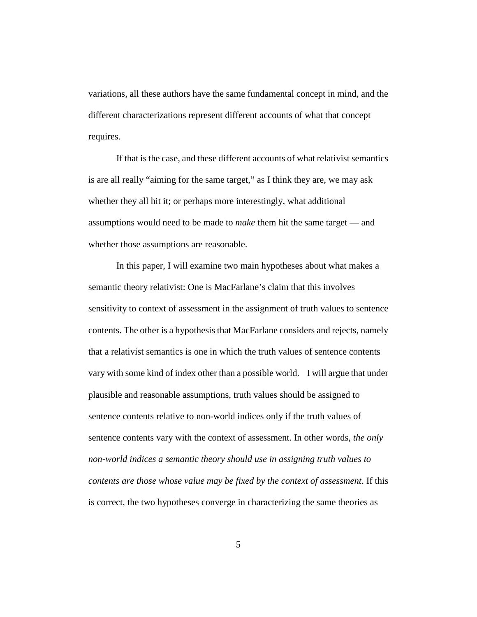variations, all these authors have the same fundamental concept in mind, and the different characterizations represent different accounts of what that concept requires.

If that is the case, and these different accounts of what relativist semantics is are all really "aiming for the same target," as I think they are, we may ask whether they all hit it; or perhaps more interestingly, what additional assumptions would need to be made to *make* them hit the same target — and whether those assumptions are reasonable.

In this paper, I will examine two main hypotheses about what makes a semantic theory relativist: One is MacFarlane's claim that this involves sensitivity to context of assessment in the assignment of truth values to sentence contents. The other is a hypothesis that MacFarlane considers and rejects, namely that a relativist semantics is one in which the truth values of sentence contents vary with some kind of index other than a possible world. I will argue that under plausible and reasonable assumptions, truth values should be assigned to sentence contents relative to non-world indices only if the truth values of sentence contents vary with the context of assessment. In other words, *the only non-world indices a semantic theory should use in assigning truth values to contents are those whose value may be fixed by the context of assessment*. If this is correct, the two hypotheses converge in characterizing the same theories as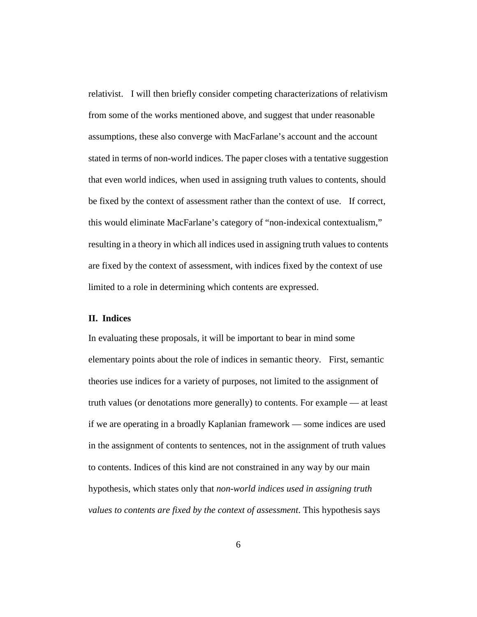relativist. I will then briefly consider competing characterizations of relativism from some of the works mentioned above, and suggest that under reasonable assumptions, these also converge with MacFarlane's account and the account stated in terms of non-world indices. The paper closes with a tentative suggestion that even world indices, when used in assigning truth values to contents, should be fixed by the context of assessment rather than the context of use. If correct, this would eliminate MacFarlane's category of "non-indexical contextualism," resulting in a theory in which all indices used in assigning truth values to contents are fixed by the context of assessment, with indices fixed by the context of use limited to a role in determining which contents are expressed.

#### **II. Indices**

In evaluating these proposals, it will be important to bear in mind some elementary points about the role of indices in semantic theory. First, semantic theories use indices for a variety of purposes, not limited to the assignment of truth values (or denotations more generally) to contents. For example — at least if we are operating in a broadly Kaplanian framework — some indices are used in the assignment of contents to sentences, not in the assignment of truth values to contents. Indices of this kind are not constrained in any way by our main hypothesis, which states only that *non-world indices used in assigning truth values to contents are fixed by the context of assessment*. This hypothesis says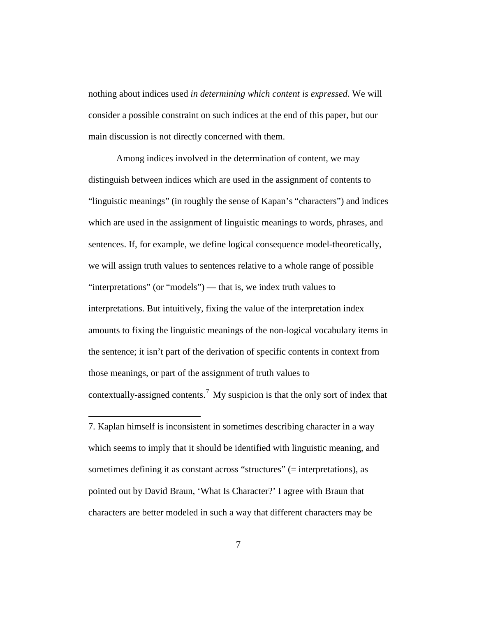nothing about indices used *in determining which content is expressed*. We will consider a possible constraint on such indices at the end of this paper, but our main discussion is not directly concerned with them.

Among indices involved in the determination of content, we may distinguish between indices which are used in the assignment of contents to "linguistic meanings" (in roughly the sense of Kapan's "characters") and indices which are used in the assignment of linguistic meanings to words, phrases, and sentences. If, for example, we define logical consequence model-theoretically, we will assign truth values to sentences relative to a whole range of possible "interpretations" (or "models") — that is, we index truth values to interpretations. But intuitively, fixing the value of the interpretation index amounts to fixing the linguistic meanings of the non-logical vocabulary items in the sentence; it isn't part of the derivation of specific contents in context from those meanings, or part of the assignment of truth values to contextually-assigned contents.<sup>[7](#page-6-0)</sup> My suspicion is that the only sort of index that

<span id="page-6-0"></span>7. Kaplan himself is inconsistent in sometimes describing character in a way which seems to imply that it should be identified with linguistic meaning, and sometimes defining it as constant across "structures" (= interpretations), as pointed out by David Braun, 'What Is Character?' I agree with Braun that characters are better modeled in such a way that different characters may be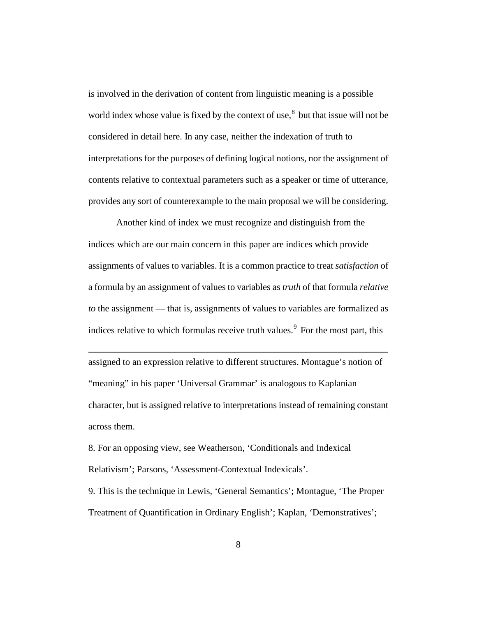is involved in the derivation of content from linguistic meaning is a possible world index whose value is fixed by the context of use, $\delta$  but that issue will not be considered in detail here. In any case, neither the indexation of truth to interpretations for the purposes of defining logical notions, nor the assignment of contents relative to contextual parameters such as a speaker or time of utterance, provides any sort of counterexample to the main proposal we will be considering.

Another kind of index we must recognize and distinguish from the indices which are our main concern in this paper are indices which provide assignments of values to variables. It is a common practice to treat *satisfaction* of a formula by an assignment of values to variables as *truth* of that formula *relative to* the assignment — that is, assignments of values to variables are formalized as indices relative to which formulas receive truth values.<sup>[9](#page-7-1)</sup> For the most part, this

assigned to an expression relative to different structures. Montague's notion of "meaning" in his paper 'Universal Grammar' is analogous to Kaplanian character, but is assigned relative to interpretations instead of remaining constant across them.

<span id="page-7-0"></span>8. For an opposing view, see Weatherson, 'Conditionals and Indexical Relativism'; Parsons, 'Assessment-Contextual Indexicals'.

 $\overline{a}$ 

<span id="page-7-1"></span>9. This is the technique in Lewis, 'General Semantics'; Montague, 'The Proper Treatment of Quantification in Ordinary English'; Kaplan, 'Demonstratives';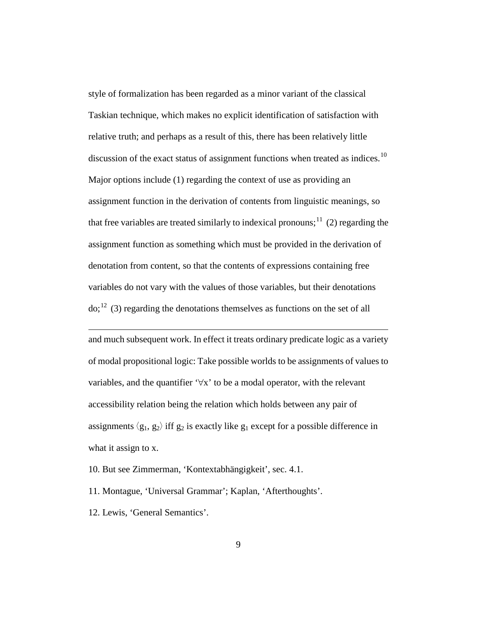style of formalization has been regarded as a minor variant of the classical Taskian technique, which makes no explicit identification of satisfaction with relative truth; and perhaps as a result of this, there has been relatively little discussion of the exact status of assignment functions when treated as indices.<sup>[10](#page-8-0)</sup> Major options include (1) regarding the context of use as providing an assignment function in the derivation of contents from linguistic meanings, so that free variables are treated similarly to indexical pronouns;<sup>[11](#page-8-1)</sup> (2) regarding the assignment function as something which must be provided in the derivation of denotation from content, so that the contents of expressions containing free variables do not vary with the values of those variables, but their denotations  $\text{do}$ ;<sup>[12](#page-8-2)</sup> (3) regarding the denotations themselves as functions on the set of all

<span id="page-8-3"></span>and much subsequent work. In effect it treats ordinary predicate logic as a variety of modal propositional logic: Take possible worlds to be assignments of values to variables, and the quantifier  $\forall x$  to be a modal operator, with the relevant accessibility relation being the relation which holds between any pair of assignments  $\langle g_1, g_2 \rangle$  iff  $g_2$  is exactly like  $g_1$  except for a possible difference in what it assign to x.

<span id="page-8-0"></span>10. But see Zimmerman, 'Kontextabhängigkeit', sec. 4.1.

<span id="page-8-1"></span>11. Montague, 'Universal Grammar'; Kaplan, 'Afterthoughts'.

<span id="page-8-2"></span>12. Lewis, 'General Semantics'.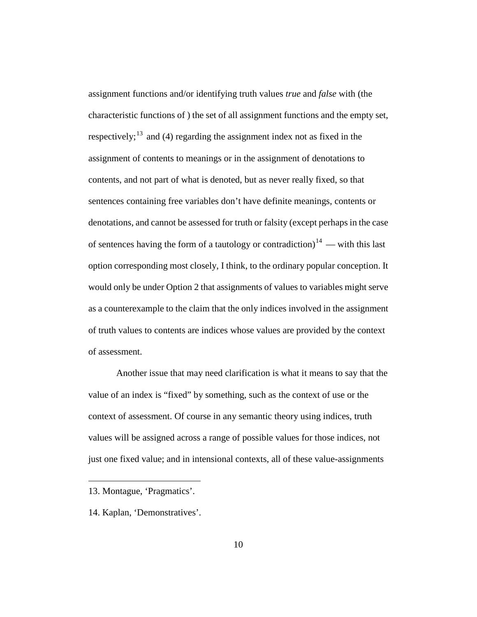assignment functions and/or identifying truth values *true* and *false* with (the characteristic functions of ) the set of all assignment functions and the empty set, respectively;<sup>[13](#page-9-0)</sup> and (4) regarding the assignment index not as fixed in the assignment of contents to meanings or in the assignment of denotations to contents, and not part of what is denoted, but as never really fixed, so that sentences containing free variables don't have definite meanings, contents or denotations, and cannot be assessed for truth or falsity (except perhaps in the case of sentences having the form of a tautology or contradiction)<sup>[14](#page-9-1)</sup> — with this last option corresponding most closely, I think, to the ordinary popular conception. It would only be under Option 2 that assignments of values to variables might serve as a counterexample to the claim that the only indices involved in the assignment of truth values to contents are indices whose values are provided by the context of assessment.

Another issue that may need clarification is what it means to say that the value of an index is "fixed" by something, such as the context of use or the context of assessment. Of course in any semantic theory using indices, truth values will be assigned across a range of possible values for those indices, not just one fixed value; and in intensional contexts, all of these value-assignments

<span id="page-9-0"></span><sup>13.</sup> Montague, 'Pragmatics'.

<span id="page-9-1"></span><sup>14.</sup> Kaplan, 'Demonstratives'.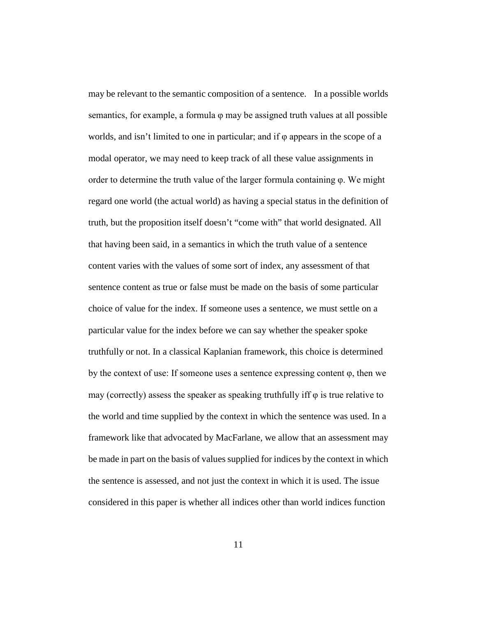may be relevant to the semantic composition of a sentence. In a possible worlds semantics, for example, a formula φ may be assigned truth values at all possible worlds, and isn't limited to one in particular; and if φ appears in the scope of a modal operator, we may need to keep track of all these value assignments in order to determine the truth value of the larger formula containing φ. We might regard one world (the actual world) as having a special status in the definition of truth, but the proposition itself doesn't "come with" that world designated. All that having been said, in a semantics in which the truth value of a sentence content varies with the values of some sort of index, any assessment of that sentence content as true or false must be made on the basis of some particular choice of value for the index. If someone uses a sentence, we must settle on a particular value for the index before we can say whether the speaker spoke truthfully or not. In a classical Kaplanian framework, this choice is determined by the context of use: If someone uses a sentence expressing content  $\varphi$ , then we may (correctly) assess the speaker as speaking truthfully iff  $\varphi$  is true relative to the world and time supplied by the context in which the sentence was used. In a framework like that advocated by MacFarlane, we allow that an assessment may be made in part on the basis of values supplied for indices by the context in which the sentence is assessed, and not just the context in which it is used. The issue considered in this paper is whether all indices other than world indices function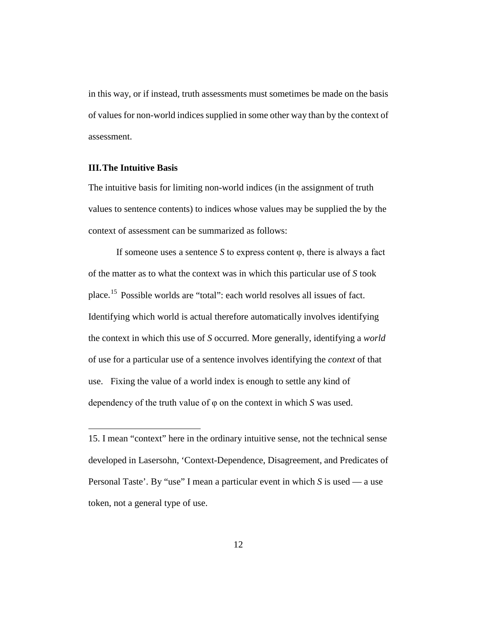in this way, or if instead, truth assessments must sometimes be made on the basis of values for non-world indices supplied in some other way than by the context of assessment.

#### **III.The Intuitive Basis**

 $\overline{a}$ 

The intuitive basis for limiting non-world indices (in the assignment of truth values to sentence contents) to indices whose values may be supplied the by the context of assessment can be summarized as follows:

If someone uses a sentence *S* to express content  $\varphi$ , there is always a fact of the matter as to what the context was in which this particular use of *S* took place.[15](#page-11-0) Possible worlds are "total": each world resolves all issues of fact. Identifying which world is actual therefore automatically involves identifying the context in which this use of *S* occurred. More generally, identifying a *world*  of use for a particular use of a sentence involves identifying the *context* of that use. Fixing the value of a world index is enough to settle any kind of dependency of the truth value of φ on the context in which *S* was used.

<span id="page-11-0"></span><sup>15.</sup> I mean "context" here in the ordinary intuitive sense, not the technical sense developed in Lasersohn, 'Context-Dependence, Disagreement, and Predicates of Personal Taste'. By "use" I mean a particular event in which *S* is used — a use token, not a general type of use.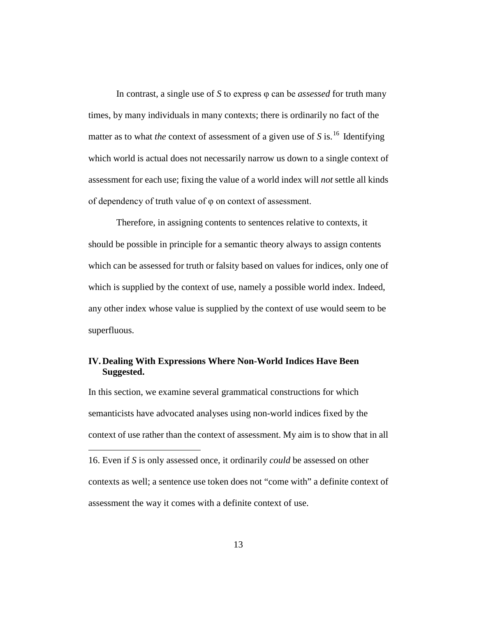In contrast, a single use of *S* to express φ can be *assessed* for truth many times, by many individuals in many contexts; there is ordinarily no fact of the matter as to what *the* context of assessment of a given use of  $S$  is.<sup>[16](#page-12-0)</sup> Identifying which world is actual does not necessarily narrow us down to a single context of assessment for each use; fixing the value of a world index will *not* settle all kinds of dependency of truth value of φ on context of assessment.

Therefore, in assigning contents to sentences relative to contexts, it should be possible in principle for a semantic theory always to assign contents which can be assessed for truth or falsity based on values for indices, only one of which is supplied by the context of use, namely a possible world index. Indeed, any other index whose value is supplied by the context of use would seem to be superfluous.

## **IV.Dealing With Expressions Where Non-World Indices Have Been Suggested.**

In this section, we examine several grammatical constructions for which semanticists have advocated analyses using non-world indices fixed by the context of use rather than the context of assessment. My aim is to show that in all  $\overline{a}$ 

<span id="page-12-0"></span>16. Even if *S* is only assessed once, it ordinarily *could* be assessed on other contexts as well; a sentence use token does not "come with" a definite context of assessment the way it comes with a definite context of use.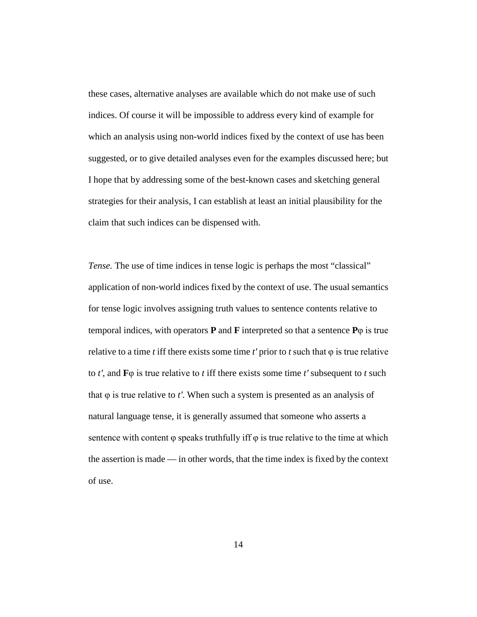these cases, alternative analyses are available which do not make use of such indices. Of course it will be impossible to address every kind of example for which an analysis using non-world indices fixed by the context of use has been suggested, or to give detailed analyses even for the examples discussed here; but I hope that by addressing some of the best-known cases and sketching general strategies for their analysis, I can establish at least an initial plausibility for the claim that such indices can be dispensed with.

*Tense*. The use of time indices in tense logic is perhaps the most "classical" application of non-world indices fixed by the context of use. The usual semantics for tense logic involves assigning truth values to sentence contents relative to temporal indices, with operators **P** and **F** interpreted so that a sentence **P**φ is true relative to a time *t* iff there exists some time  $t'$  prior to  $t$  such that  $\varphi$  is true relative to *t′*, and **F**φ is true relative to *t* iff there exists some time *t′* subsequent to *t* such that φ is true relative to *t′*. When such a system is presented as an analysis of natural language tense, it is generally assumed that someone who asserts a sentence with content  $\varphi$  speaks truthfully iff  $\varphi$  is true relative to the time at which the assertion is made — in other words, that the time index is fixed by the context of use.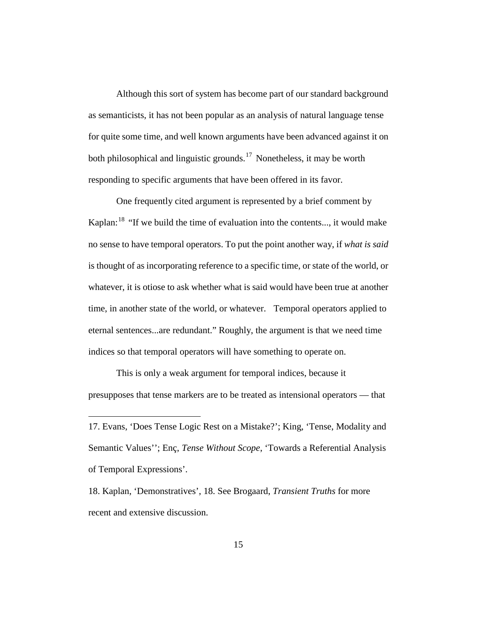Although this sort of system has become part of our standard background as semanticists, it has not been popular as an analysis of natural language tense for quite some time, and well known arguments have been advanced against it on both philosophical and linguistic grounds.<sup>[17](#page-14-0)</sup> Nonetheless, it may be worth responding to specific arguments that have been offered in its favor.

One frequently cited argument is represented by a brief comment by Kaplan: $18$  "If we build the time of evaluation into the contents..., it would make no sense to have temporal operators. To put the point another way, if *what is said* is thought of as incorporating reference to a specific time, or state of the world, or whatever, it is otiose to ask whether what is said would have been true at another time, in another state of the world, or whatever. Temporal operators applied to eternal sentences...are redundant." Roughly, the argument is that we need time indices so that temporal operators will have something to operate on.

This is only a weak argument for temporal indices, because it presupposes that tense markers are to be treated as intensional operators — that

<span id="page-14-0"></span><sup>17.</sup> Evans, 'Does Tense Logic Rest on a Mistake?'; King, 'Tense, Modality and Semantic Values''; Enç, *Tense Without Scope*, 'Towards a Referential Analysis of Temporal Expressions'.

<span id="page-14-1"></span><sup>18.</sup> Kaplan, 'Demonstratives', 18. See Brogaard, *Transient Truths* for more recent and extensive discussion.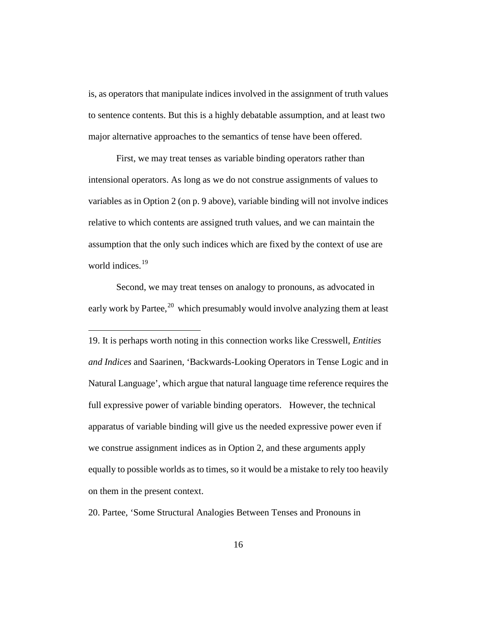is, as operators that manipulate indices involved in the assignment of truth values to sentence contents. But this is a highly debatable assumption, and at least two major alternative approaches to the semantics of tense have been offered.

First, we may treat tenses as variable binding operators rather than intensional operators. As long as we do not construe assignments of values to variables as in Option 2 (on p. [9](#page-8-3) above), variable binding will not involve indices relative to which contents are assigned truth values, and we can maintain the assumption that the only such indices which are fixed by the context of use are world indices.<sup>[19](#page-15-0)</sup>

Second, we may treat tenses on analogy to pronouns, as advocated in early work by Partee,<sup>[20](#page-15-1)</sup> which presumably would involve analyzing them at least

 $\overline{a}$ 

<span id="page-15-0"></span>19. It is perhaps worth noting in this connection works like Cresswell, *Entities and Indices* and Saarinen, 'Backwards-Looking Operators in Tense Logic and in Natural Language', which argue that natural language time reference requires the full expressive power of variable binding operators. However, the technical apparatus of variable binding will give us the needed expressive power even if we construe assignment indices as in Option 2, and these arguments apply equally to possible worlds as to times, so it would be a mistake to rely too heavily on them in the present context.

<span id="page-15-1"></span>20. Partee, 'Some Structural Analogies Between Tenses and Pronouns in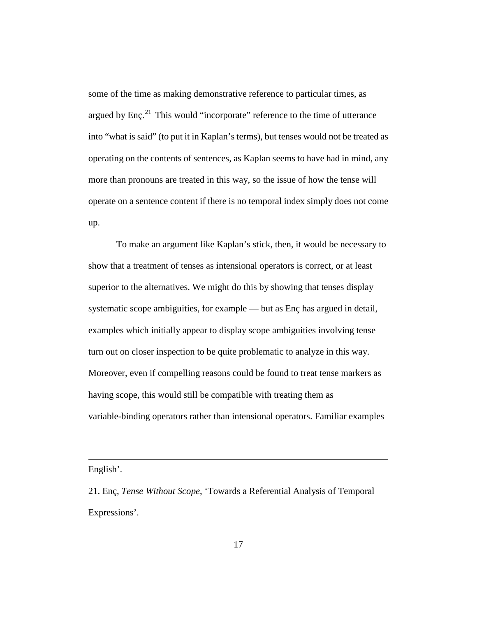some of the time as making demonstrative reference to particular times, as argued by Enç.<sup>[21](#page-16-0)</sup> This would "incorporate" reference to the time of utterance into "what is said" (to put it in Kaplan's terms), but tenses would not be treated as operating on the contents of sentences, as Kaplan seems to have had in mind, any more than pronouns are treated in this way, so the issue of how the tense will operate on a sentence content if there is no temporal index simply does not come up.

To make an argument like Kaplan's stick, then, it would be necessary to show that a treatment of tenses as intensional operators is correct, or at least superior to the alternatives. We might do this by showing that tenses display systematic scope ambiguities, for example — but as Enç has argued in detail, examples which initially appear to display scope ambiguities involving tense turn out on closer inspection to be quite problematic to analyze in this way. Moreover, even if compelling reasons could be found to treat tense markers as having scope, this would still be compatible with treating them as variable-binding operators rather than intensional operators. Familiar examples

English'.

<span id="page-16-0"></span><sup>21.</sup> Enç, *Tense Without Scope*, 'Towards a Referential Analysis of Temporal Expressions'.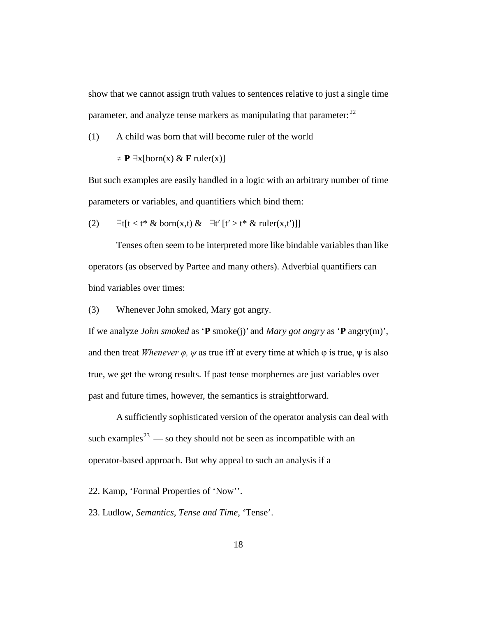show that we cannot assign truth values to sentences relative to just a single time parameter, and analyze tense markers as manipulating that parameter: $^{22}$  $^{22}$  $^{22}$ 

(1) A child was born that will become ruler of the world

 $\neq$  **P**  $\exists$ x[born(x) & **F** ruler(x)]

But such examples are easily handled in a logic with an arbitrary number of time parameters or variables, and quantifiers which bind them:

(2)  $\exists t[t < t^* \& \text{born}(x,t) \& \exists t'[t' > t^* \& \text{ ruler}(x,t')]]$ 

Tenses often seem to be interpreted more like bindable variables than like operators (as observed by Partee and many others). Adverbial quantifiers can bind variables over times:

(3) Whenever John smoked, Mary got angry.

If we analyze *John smoked* as '**P** smoke(j)' and *Mary got angry* as '**P** angry(m)', and then treat *Whenever*  $\varphi$ *,*  $\psi$  as true iff at every time at which  $\varphi$  is true,  $\psi$  is also true, we get the wrong results. If past tense morphemes are just variables over past and future times, however, the semantics is straightforward.

A sufficiently sophisticated version of the operator analysis can deal with such examples<sup>[23](#page-17-1)</sup> — so they should not be seen as incompatible with an operator-based approach. But why appeal to such an analysis if a

<span id="page-17-0"></span><sup>22.</sup> Kamp, 'Formal Properties of 'Now''.

<span id="page-17-1"></span><sup>23.</sup> Ludlow, *Semantics, Tense and Time*, 'Tense'.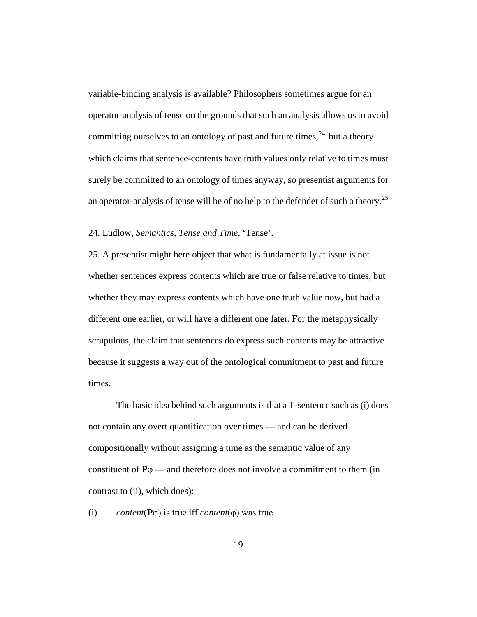variable-binding analysis is available? Philosophers sometimes argue for an operator-analysis of tense on the grounds that such an analysis allows us to avoid committing ourselves to an ontology of past and future times, $24$  but a theory which claims that sentence-contents have truth values only relative to times must surely be committed to an ontology of times anyway, so presentist arguments for an operator-analysis of tense will be of no help to the defender of such a theory.[25](#page-18-1)

#### <span id="page-18-0"></span>24. Ludlow, *Semantics, Tense and Time*, 'Tense'.

 $\overline{a}$ 

<span id="page-18-1"></span>25. A presentist might here object that what is fundamentally at issue is not whether sentences express contents which are true or false relative to times, but whether they may express contents which have one truth value now, but had a different one earlier, or will have a different one later. For the metaphysically scrupulous, the claim that sentences do express such contents may be attractive because it suggests a way out of the ontological commitment to past and future times.

The basic idea behind such arguments is that a T-sentence such as (i) does not contain any overt quantification over times — and can be derived compositionally without assigning a time as the semantic value of any constituent of  $P\varphi$  — and therefore does not involve a commitment to them (in contrast to (ii), which does):

(i) *content*(**P**φ) is true iff *content*(φ) was true.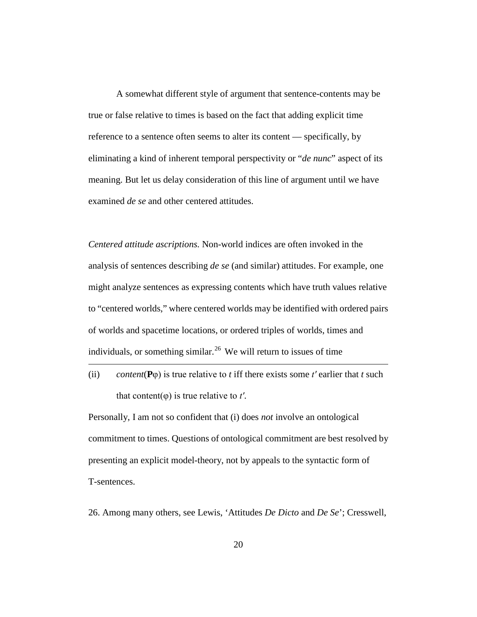A somewhat different style of argument that sentence-contents may be true or false relative to times is based on the fact that adding explicit time reference to a sentence often seems to alter its content — specifically, by eliminating a kind of inherent temporal perspectivity or "*de nunc*" aspect of its meaning. But let us delay consideration of this line of argument until we have examined *de se* and other centered attitudes.

*Centered attitude ascriptions.* Non-world indices are often invoked in the analysis of sentences describing *de se* (and similar) attitudes. For example, one might analyze sentences as expressing contents which have truth values relative to "centered worlds," where centered worlds may be identified with ordered pairs of worlds and spacetime locations, or ordered triples of worlds, times and individuals, or something similar.<sup>[26](#page-19-0)</sup> We will return to issues of time

(ii) *content*( $P\varphi$ ) is true relative to *t* iff there exists some *t'* earlier that *t* such that content(φ) is true relative to *t′*.

 $\overline{a}$ 

Personally, I am not so confident that (i) does *not* involve an ontological commitment to times. Questions of ontological commitment are best resolved by presenting an explicit model-theory, not by appeals to the syntactic form of T-sentences.

<span id="page-19-0"></span>26. Among many others, see Lewis, 'Attitudes *De Dicto* and *De Se*'; Cresswell,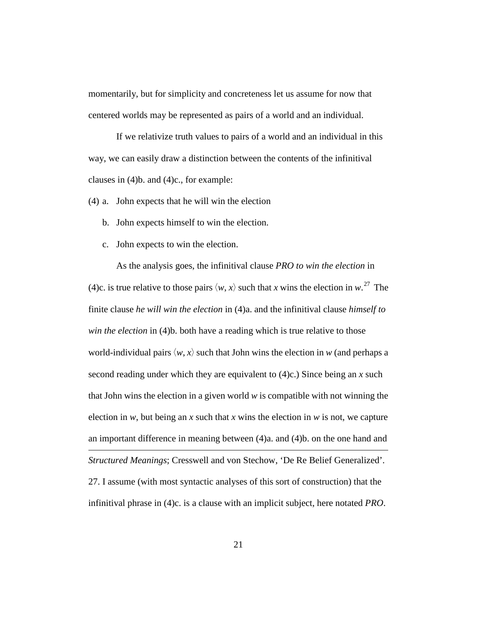momentarily, but for simplicity and concreteness let us assume for now that centered worlds may be represented as pairs of a world and an individual.

If we relativize truth values to pairs of a world and an individual in this way, we can easily draw a distinction between the contents of the infinitival clauses in (4)b. and (4)c., for example:

(4) a. John expects that he will win the election

- b. John expects himself to win the election.
- c. John expects to win the election.

<span id="page-20-0"></span>As the analysis goes, the infinitival clause *PRO to win the election* in (4)c. is true relative to those pairs  $\langle w, x \rangle$  such that *x* wins the election in  $w$ .<sup>[27](#page-20-0)</sup> The finite clause *he will win the election* in (4)a. and the infinitival clause *himself to win the election* in (4)b. both have a reading which is true relative to those world-individual pairs  $\langle w, x \rangle$  such that John wins the election in *w* (and perhaps a second reading under which they are equivalent to (4)c.) Since being an *x* such that John wins the election in a given world *w* is compatible with not winning the election in *w*, but being an *x* such that *x* wins the election in *w* is not, we capture an important difference in meaning between (4)a. and (4)b. on the one hand and  $\overline{a}$ *Structured Meanings*; Cresswell and von Stechow, 'De Re Belief Generalized'. 27. I assume (with most syntactic analyses of this sort of construction) that the infinitival phrase in (4)c. is a clause with an implicit subject, here notated *PRO*.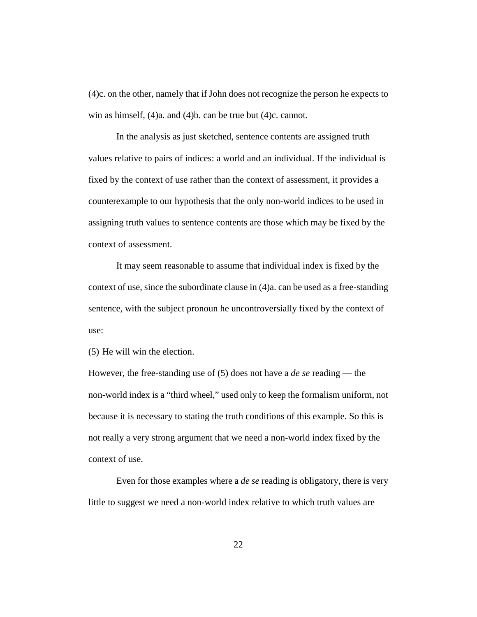(4)c. on the other, namely that if John does not recognize the person he expects to win as himself, (4)a. and (4)b. can be true but (4)c. cannot.

In the analysis as just sketched, sentence contents are assigned truth values relative to pairs of indices: a world and an individual. If the individual is fixed by the context of use rather than the context of assessment, it provides a counterexample to our hypothesis that the only non-world indices to be used in assigning truth values to sentence contents are those which may be fixed by the context of assessment.

It may seem reasonable to assume that individual index is fixed by the context of use, since the subordinate clause in (4)a. can be used as a free-standing sentence, with the subject pronoun he uncontroversially fixed by the context of use:

(5) He will win the election.

However, the free-standing use of (5) does not have a *de se* reading — the non-world index is a "third wheel," used only to keep the formalism uniform, not because it is necessary to stating the truth conditions of this example. So this is not really a very strong argument that we need a non-world index fixed by the context of use.

Even for those examples where a *de se* reading is obligatory, there is very little to suggest we need a non-world index relative to which truth values are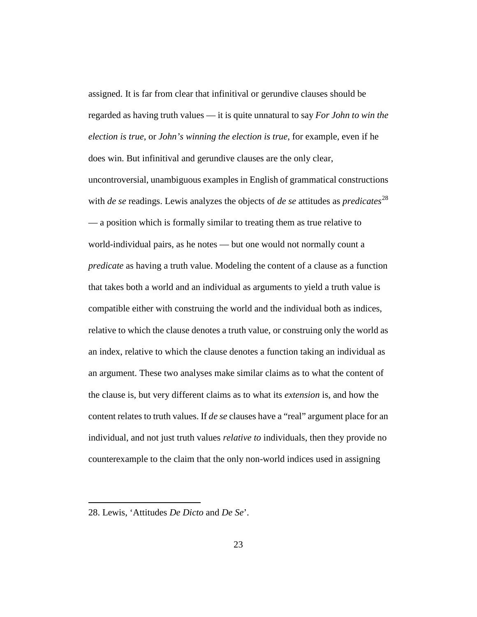assigned. It is far from clear that infinitival or gerundive clauses should be regarded as having truth values — it is quite unnatural to say *For John to win the election is true*, or *John's winning the election is true*, for example, even if he does win. But infinitival and gerundive clauses are the only clear, uncontroversial, unambiguous examples in English of grammatical constructions with *de se* readings. Lewis analyzes the objects of *de se* attitudes as *predicates*<sup>[28](#page-22-0)</sup> — a position which is formally similar to treating them as true relative to world-individual pairs, as he notes — but one would not normally count a *predicate* as having a truth value. Modeling the content of a clause as a function that takes both a world and an individual as arguments to yield a truth value is compatible either with construing the world and the individual both as indices, relative to which the clause denotes a truth value, or construing only the world as an index, relative to which the clause denotes a function taking an individual as an argument. These two analyses make similar claims as to what the content of the clause is, but very different claims as to what its *extension* is, and how the content relates to truth values. If *de se* clauses have a "real" argument place for an individual, and not just truth values *relative to* individuals, then they provide no counterexample to the claim that the only non-world indices used in assigning

<span id="page-22-0"></span><sup>28.</sup> Lewis, 'Attitudes *De Dicto* and *De Se*'.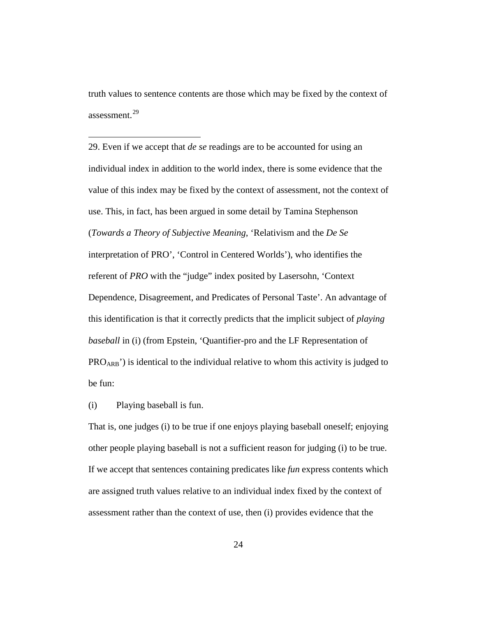truth values to sentence contents are those which may be fixed by the context of assessment.[29](#page-23-0)

<span id="page-23-0"></span>29. Even if we accept that *de se* readings are to be accounted for using an individual index in addition to the world index, there is some evidence that the value of this index may be fixed by the context of assessment, not the context of use. This, in fact, has been argued in some detail by Tamina Stephenson (*Towards a Theory of Subjective Meaning*, 'Relativism and the *De Se* interpretation of PRO', 'Control in Centered Worlds'), who identifies the referent of *PRO* with the "judge" index posited by Lasersohn, 'Context Dependence, Disagreement, and Predicates of Personal Taste'. An advantage of this identification is that it correctly predicts that the implicit subject of *playing baseball* in (i) (from Epstein, 'Quantifier-pro and the LF Representation of PRO<sub>ARB</sub>') is identical to the individual relative to whom this activity is judged to be fun:

(i) Playing baseball is fun.

 $\overline{a}$ 

That is, one judges (i) to be true if one enjoys playing baseball oneself; enjoying other people playing baseball is not a sufficient reason for judging (i) to be true. If we accept that sentences containing predicates like *fun* express contents which are assigned truth values relative to an individual index fixed by the context of assessment rather than the context of use, then (i) provides evidence that the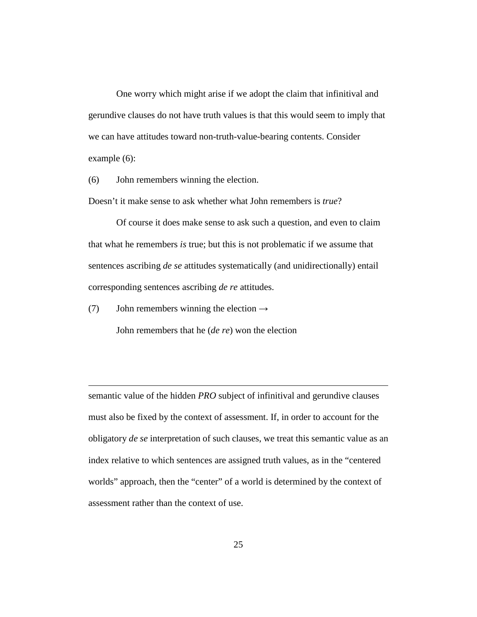One worry which might arise if we adopt the claim that infinitival and gerundive clauses do not have truth values is that this would seem to imply that we can have attitudes toward non-truth-value-bearing contents. Consider example (6):

(6) John remembers winning the election.

Doesn't it make sense to ask whether what John remembers is *true*?

Of course it does make sense to ask such a question, and even to claim that what he remembers *is* true; but this is not problematic if we assume that sentences ascribing *de se* attitudes systematically (and unidirectionally) entail corresponding sentences ascribing *de re* attitudes.

(7) John remembers winning the election  $\rightarrow$ 

 $\overline{a}$ 

John remembers that he (*de re*) won the election

semantic value of the hidden *PRO* subject of infinitival and gerundive clauses must also be fixed by the context of assessment. If, in order to account for the obligatory *de se* interpretation of such clauses, we treat this semantic value as an index relative to which sentences are assigned truth values, as in the "centered worlds" approach, then the "center" of a world is determined by the context of assessment rather than the context of use.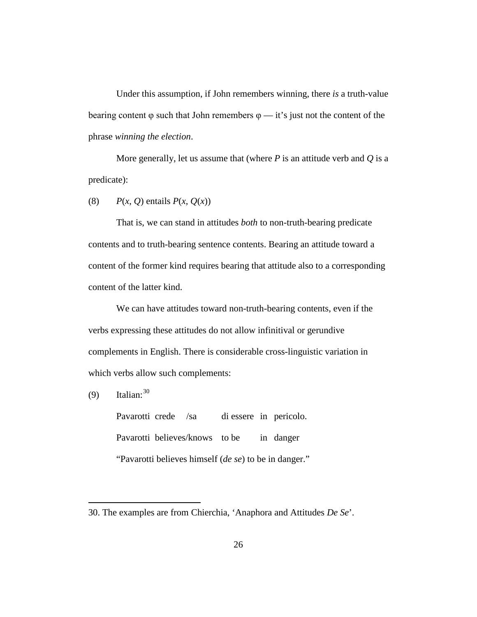Under this assumption, if John remembers winning, there *is* a truth-value bearing content  $\varphi$  such that John remembers  $\varphi$  — it's just not the content of the phrase *winning the election*.

More generally, let us assume that (where  $P$  is an attitude verb and  $Q$  is a predicate):

(8)  $P(x, Q)$  entails  $P(x, Q(x))$ 

That is, we can stand in attitudes *both* to non-truth-bearing predicate contents and to truth-bearing sentence contents. Bearing an attitude toward a content of the former kind requires bearing that attitude also to a corresponding content of the latter kind.

We can have attitudes toward non-truth-bearing contents, even if the verbs expressing these attitudes do not allow infinitival or gerundive complements in English. There is considerable cross-linguistic variation in which verbs allow such complements:

 $(9)$  Italian:  $30$ 

 $\overline{a}$ 

Pavarotti crede /sa di essere in pericolo. Pavarotti believes/knows to be in danger "Pavarotti believes himself (*de se*) to be in danger."

<span id="page-25-0"></span><sup>30.</sup> The examples are from Chierchia, 'Anaphora and Attitudes *De Se*'.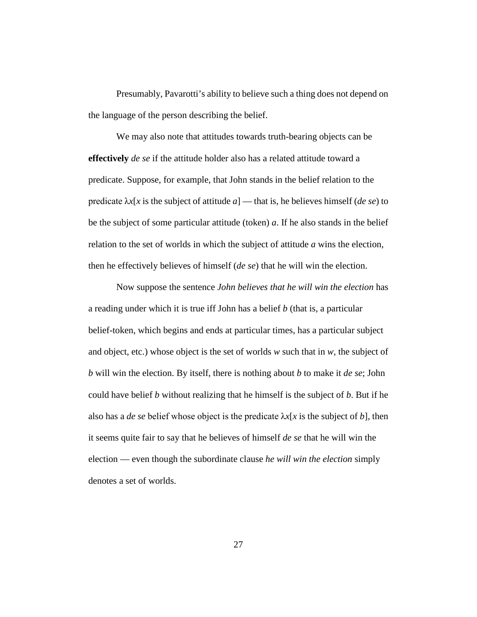Presumably, Pavarotti's ability to believe such a thing does not depend on the language of the person describing the belief.

We may also note that attitudes towards truth-bearing objects can be **effectively** *de se* if the attitude holder also has a related attitude toward a predicate. Suppose, for example, that John stands in the belief relation to the predicate  $\lambda x[x]$  is the subject of attitude  $a$ ] — that is, he believes himself (*de se*) to be the subject of some particular attitude (token) *a*. If he also stands in the belief relation to the set of worlds in which the subject of attitude *a* wins the election, then he effectively believes of himself (*de se*) that he will win the election.

Now suppose the sentence *John believes that he will win the election* has a reading under which it is true iff John has a belief *b* (that is, a particular belief-token, which begins and ends at particular times, has a particular subject and object, etc.) whose object is the set of worlds *w* such that in *w*, the subject of *b* will win the election. By itself, there is nothing about *b* to make it *de se*; John could have belief *b* without realizing that he himself is the subject of *b*. But if he also has a *de se* belief whose object is the predicate  $\lambda x$ [x is the subject of *b*], then it seems quite fair to say that he believes of himself *de se* that he will win the election — even though the subordinate clause *he will win the election* simply denotes a set of worlds.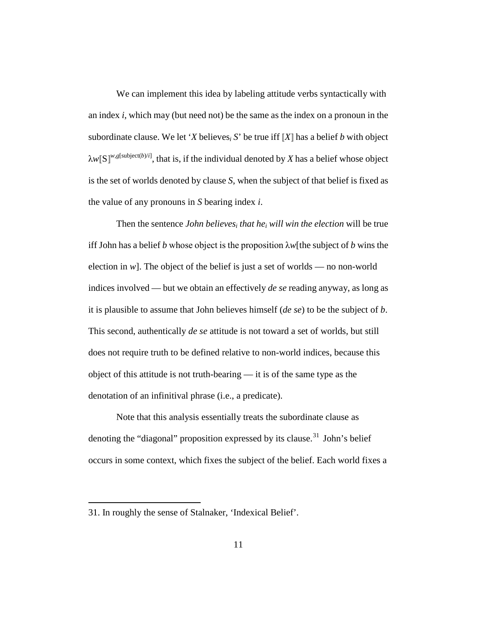We can implement this idea by labeling attitude verbs syntactically with an index *i*, which may (but need not) be the same as the index on a pronoun in the subordinate clause. We let '*X* believes<sub>*i*</sub> *S*' be true iff  $[X]$  has a belief *b* with object  $\lambda w$ <sup>[</sup>S]<sup>*w*,*g*[subject(*b*)/*i*]</sup>, that is, if the individual denoted by *X* has a belief whose object is the set of worlds denoted by clause *S*, when the subject of that belief is fixed as the value of any pronouns in *S* bearing index *i*.

Then the sentence *John believesi that hei will win the election* will be true iff John has a belief *b* whose object is the proposition λ*w*[the subject of *b* wins the election in  $w$ ]. The object of the belief is just a set of worlds — no non-world indices involved — but we obtain an effectively *de se* reading anyway, as long as it is plausible to assume that John believes himself (*de se*) to be the subject of *b*. This second, authentically *de se* attitude is not toward a set of worlds, but still does not require truth to be defined relative to non-world indices, because this object of this attitude is not truth-bearing — it is of the same type as the denotation of an infinitival phrase (i.e., a predicate).

Note that this analysis essentially treats the subordinate clause as denoting the "diagonal" proposition expressed by its clause.<sup>[31](#page-27-0)</sup> John's belief occurs in some context, which fixes the subject of the belief. Each world fixes a

<span id="page-27-0"></span><sup>31.</sup> In roughly the sense of Stalnaker, 'Indexical Belief'.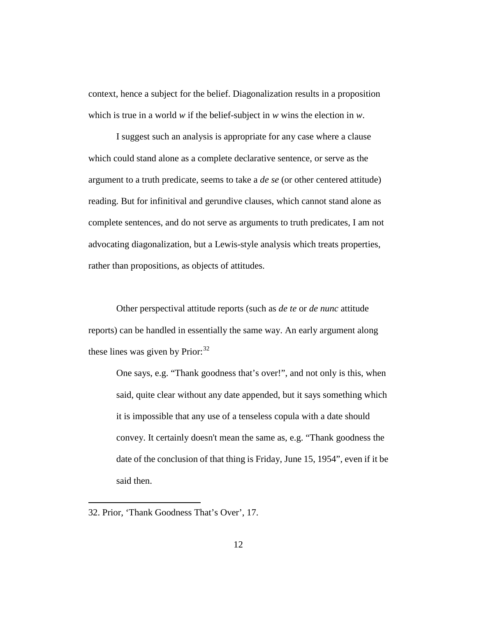context, hence a subject for the belief. Diagonalization results in a proposition which is true in a world *w* if the belief-subject in *w* wins the election in *w*.

I suggest such an analysis is appropriate for any case where a clause which could stand alone as a complete declarative sentence, or serve as the argument to a truth predicate, seems to take a *de se* (or other centered attitude) reading. But for infinitival and gerundive clauses, which cannot stand alone as complete sentences, and do not serve as arguments to truth predicates, I am not advocating diagonalization, but a Lewis-style analysis which treats properties, rather than propositions, as objects of attitudes.

Other perspectival attitude reports (such as *de te* or *de nunc* attitude reports) can be handled in essentially the same way. An early argument along these lines was given by Prior:<sup>[32](#page-28-0)</sup>

One says, e.g. "Thank goodness that's over!", and not only is this, when said, quite clear without any date appended, but it says something which it is impossible that any use of a tenseless copula with a date should convey. It certainly doesn't mean the same as, e.g. "Thank goodness the date of the conclusion of that thing is Friday, June 15, 1954", even if it be said then.

<span id="page-28-0"></span><sup>32.</sup> Prior, 'Thank Goodness That's Over', 17.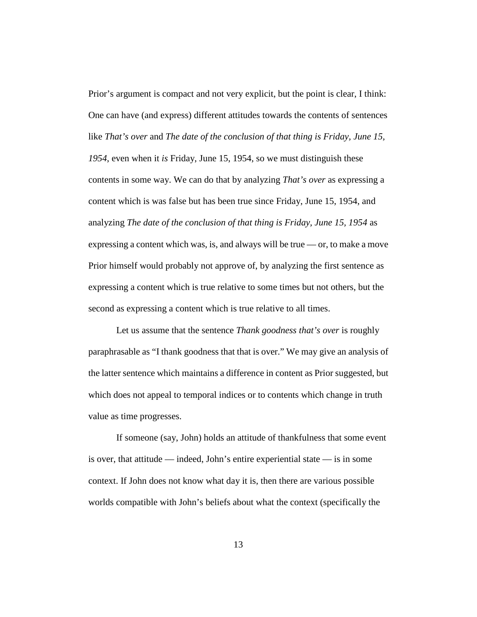Prior's argument is compact and not very explicit, but the point is clear, I think: One can have (and express) different attitudes towards the contents of sentences like *That's over* and *The date of the conclusion of that thing is Friday, June 15, 1954*, even when it *is* Friday, June 15, 1954, so we must distinguish these contents in some way. We can do that by analyzing *That's over* as expressing a content which is was false but has been true since Friday, June 15, 1954, and analyzing *The date of the conclusion of that thing is Friday, June 15, 1954* as expressing a content which was, is, and always will be true — or, to make a move Prior himself would probably not approve of, by analyzing the first sentence as expressing a content which is true relative to some times but not others, but the second as expressing a content which is true relative to all times.

Let us assume that the sentence *Thank goodness that's over* is roughly paraphrasable as "I thank goodness that that is over." We may give an analysis of the latter sentence which maintains a difference in content as Prior suggested, but which does not appeal to temporal indices or to contents which change in truth value as time progresses.

If someone (say, John) holds an attitude of thankfulness that some event is over, that attitude — indeed, John's entire experiential state — is in some context. If John does not know what day it is, then there are various possible worlds compatible with John's beliefs about what the context (specifically the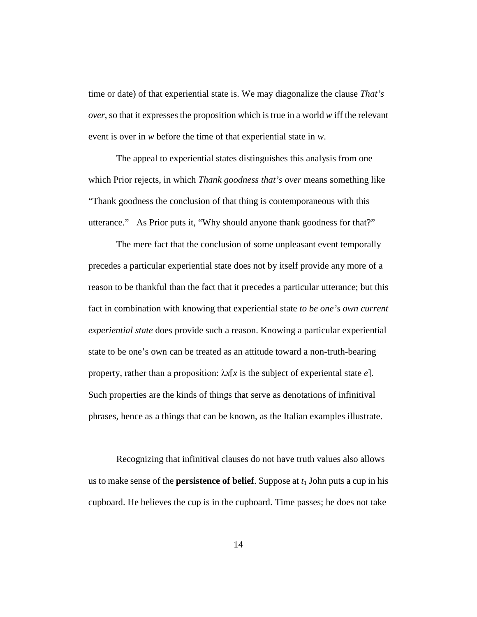time or date) of that experiential state is. We may diagonalize the clause *That's over*, so that it expresses the proposition which is true in a world *w* iff the relevant event is over in *w* before the time of that experiential state in *w*.

The appeal to experiential states distinguishes this analysis from one which Prior rejects, in which *Thank goodness that's over* means something like "Thank goodness the conclusion of that thing is contemporaneous with this utterance." As Prior puts it, "Why should anyone thank goodness for that?"

The mere fact that the conclusion of some unpleasant event temporally precedes a particular experiential state does not by itself provide any more of a reason to be thankful than the fact that it precedes a particular utterance; but this fact in combination with knowing that experiential state *to be one's own current experiential state* does provide such a reason. Knowing a particular experiential state to be one's own can be treated as an attitude toward a non-truth-bearing property, rather than a proposition: λ*x*[*x* is the subject of experiental state *e*]. Such properties are the kinds of things that serve as denotations of infinitival phrases, hence as a things that can be known, as the Italian examples illustrate.

Recognizing that infinitival clauses do not have truth values also allows us to make sense of the **persistence of belief**. Suppose at *t*<sup>1</sup> John puts a cup in his cupboard. He believes the cup is in the cupboard. Time passes; he does not take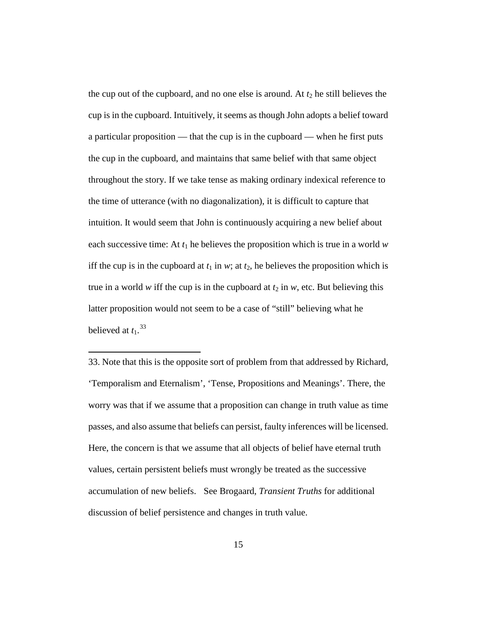the cup out of the cupboard, and no one else is around. At  $t_2$  he still believes the cup is in the cupboard. Intuitively, it seems as though John adopts a belief toward a particular proposition — that the cup is in the cupboard — when he first puts the cup in the cupboard, and maintains that same belief with that same object throughout the story. If we take tense as making ordinary indexical reference to the time of utterance (with no diagonalization), it is difficult to capture that intuition. It would seem that John is continuously acquiring a new belief about each successive time: At  $t_1$  he believes the proposition which is true in a world  $w$ iff the cup is in the cupboard at  $t_1$  in *w*; at  $t_2$ , he believes the proposition which is true in a world *w* iff the cup is in the cupboard at  $t_2$  in *w*, etc. But believing this latter proposition would not seem to be a case of "still" believing what he believed at  $t_1$ .<sup>[33](#page-31-0)</sup>

<span id="page-31-0"></span><sup>33.</sup> Note that this is the opposite sort of problem from that addressed by Richard, 'Temporalism and Eternalism', 'Tense, Propositions and Meanings'. There, the worry was that if we assume that a proposition can change in truth value as time passes, and also assume that beliefs can persist, faulty inferences will be licensed. Here, the concern is that we assume that all objects of belief have eternal truth values, certain persistent beliefs must wrongly be treated as the successive accumulation of new beliefs. See Brogaard, *Transient Truths* for additional discussion of belief persistence and changes in truth value.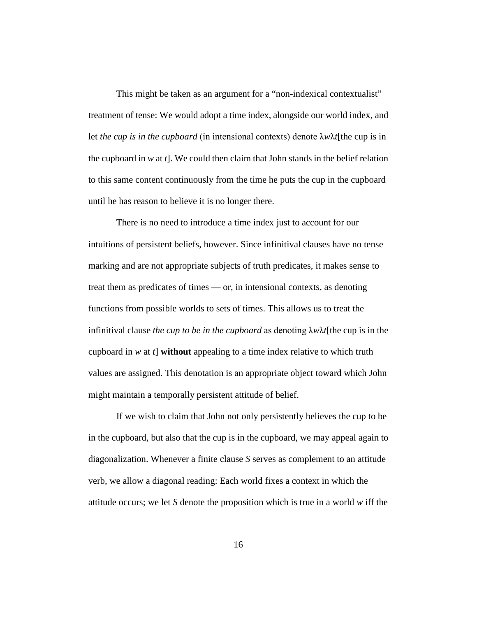This might be taken as an argument for a "non-indexical contextualist" treatment of tense: We would adopt a time index, alongside our world index, and let *the cup is in the cupboard* (in intensional contexts) denote λ*w*λ*t*[the cup is in the cupboard in *w* at *t*]. We could then claim that John stands in the belief relation to this same content continuously from the time he puts the cup in the cupboard until he has reason to believe it is no longer there.

There is no need to introduce a time index just to account for our intuitions of persistent beliefs, however. Since infinitival clauses have no tense marking and are not appropriate subjects of truth predicates, it makes sense to treat them as predicates of times — or, in intensional contexts, as denoting functions from possible worlds to sets of times. This allows us to treat the infinitival clause *the cup to be in the cupboard* as denoting λ*w*λ*t*[the cup is in the cupboard in *w* at *t*] **without** appealing to a time index relative to which truth values are assigned. This denotation is an appropriate object toward which John might maintain a temporally persistent attitude of belief.

If we wish to claim that John not only persistently believes the cup to be in the cupboard, but also that the cup is in the cupboard, we may appeal again to diagonalization. Whenever a finite clause *S* serves as complement to an attitude verb, we allow a diagonal reading: Each world fixes a context in which the attitude occurs; we let *S* denote the proposition which is true in a world *w* iff the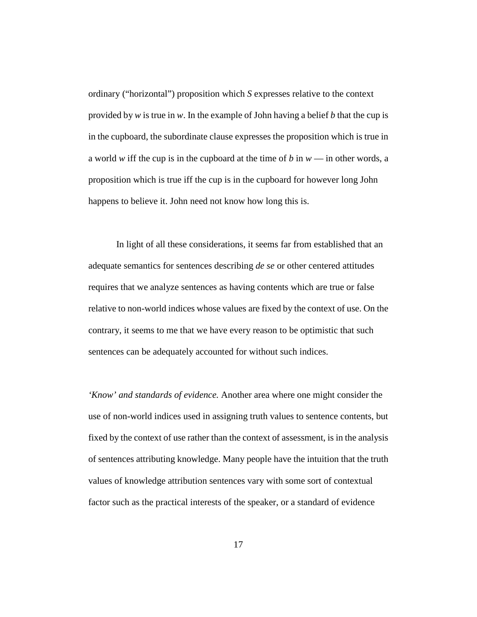ordinary ("horizontal") proposition which *S* expresses relative to the context provided by *w* is true in *w*. In the example of John having a belief *b* that the cup is in the cupboard, the subordinate clause expresses the proposition which is true in a world *w* iff the cup is in the cupboard at the time of *b* in *w* — in other words, a proposition which is true iff the cup is in the cupboard for however long John happens to believe it. John need not know how long this is.

In light of all these considerations, it seems far from established that an adequate semantics for sentences describing *de se* or other centered attitudes requires that we analyze sentences as having contents which are true or false relative to non-world indices whose values are fixed by the context of use. On the contrary, it seems to me that we have every reason to be optimistic that such sentences can be adequately accounted for without such indices.

*'Know' and standards of evidence.* Another area where one might consider the use of non-world indices used in assigning truth values to sentence contents, but fixed by the context of use rather than the context of assessment, is in the analysis of sentences attributing knowledge. Many people have the intuition that the truth values of knowledge attribution sentences vary with some sort of contextual factor such as the practical interests of the speaker, or a standard of evidence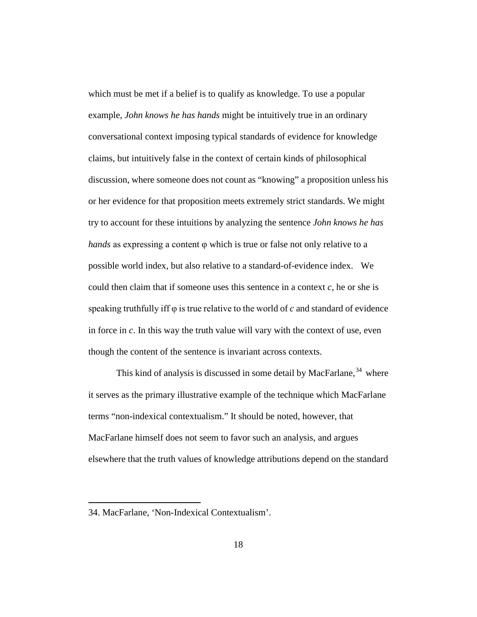which must be met if a belief is to qualify as knowledge. To use a popular example, *John knows he has hands* might be intuitively true in an ordinary conversational context imposing typical standards of evidence for knowledge claims, but intuitively false in the context of certain kinds of philosophical discussion, where someone does not count as "knowing" a proposition unless his or her evidence for that proposition meets extremely strict standards. We might try to account for these intuitions by analyzing the sentence *John knows he has hands* as expressing a content φ which is true or false not only relative to a possible world index, but also relative to a standard-of-evidence index. We could then claim that if someone uses this sentence in a context *c*, he or she is speaking truthfully iff φ is true relative to the world of *c* and standard of evidence in force in *c*. In this way the truth value will vary with the context of use, even though the content of the sentence is invariant across contexts.

This kind of analysis is discussed in some detail by MacFarlane,<sup>[34](#page-34-0)</sup> where it serves as the primary illustrative example of the technique which MacFarlane terms "non-indexical contextualism." It should be noted, however, that MacFarlane himself does not seem to favor such an analysis, and argues elsewhere that the truth values of knowledge attributions depend on the standard

<span id="page-34-0"></span><sup>34.</sup> MacFarlane, 'Non-Indexical Contextualism'.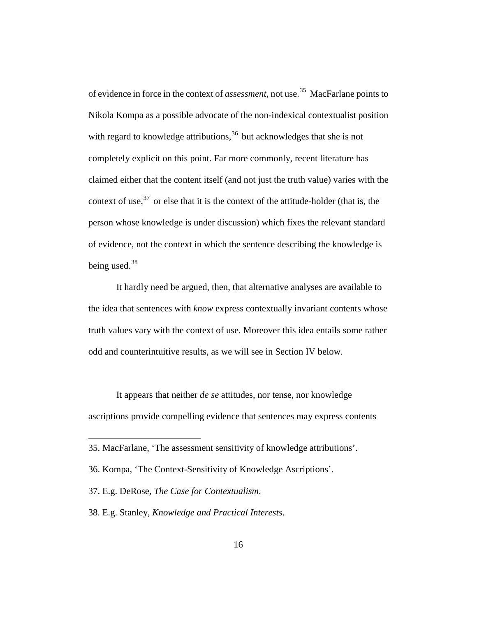of evidence in force in the context of *assessment*, not use. [35](#page-35-0) MacFarlane points to Nikola Kompa as a possible advocate of the non-indexical contextualist position with regard to knowledge attributions,  $36$  but acknowledges that she is not completely explicit on this point. Far more commonly, recent literature has claimed either that the content itself (and not just the truth value) varies with the context of use,  $37$  or else that it is the context of the attitude-holder (that is, the person whose knowledge is under discussion) which fixes the relevant standard of evidence, not the context in which the sentence describing the knowledge is being used.<sup>[38](#page-35-3)</sup>

It hardly need be argued, then, that alternative analyses are available to the idea that sentences with *know* express contextually invariant contents whose truth values vary with the context of use. Moreover this idea entails some rather odd and counterintuitive results, as we will see in Section IV below.

It appears that neither *de se* attitudes, nor tense, nor knowledge ascriptions provide compelling evidence that sentences may express contents

 $\overline{a}$ 

<span id="page-35-3"></span>38. E.g. Stanley, *Knowledge and Practical Interests*.

<span id="page-35-0"></span><sup>35.</sup> MacFarlane, 'The assessment sensitivity of knowledge attributions'.

<span id="page-35-1"></span><sup>36.</sup> Kompa, 'The Context-Sensitivity of Knowledge Ascriptions'.

<span id="page-35-2"></span><sup>37.</sup> E.g. DeRose, *The Case for Contextualism*.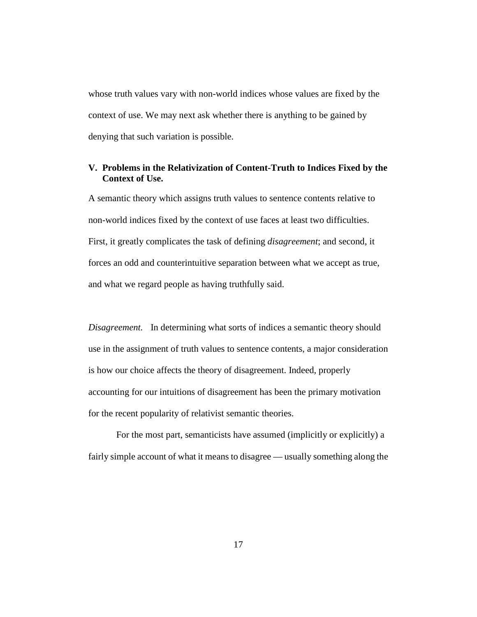whose truth values vary with non-world indices whose values are fixed by the context of use. We may next ask whether there is anything to be gained by denying that such variation is possible.

# **V. Problems in the Relativization of Content-Truth to Indices Fixed by the Context of Use.**

A semantic theory which assigns truth values to sentence contents relative to non-world indices fixed by the context of use faces at least two difficulties. First, it greatly complicates the task of defining *disagreement*; and second, it forces an odd and counterintuitive separation between what we accept as true, and what we regard people as having truthfully said.

*Disagreement.* In determining what sorts of indices a semantic theory should use in the assignment of truth values to sentence contents, a major consideration is how our choice affects the theory of disagreement. Indeed, properly accounting for our intuitions of disagreement has been the primary motivation for the recent popularity of relativist semantic theories.

For the most part, semanticists have assumed (implicitly or explicitly) a fairly simple account of what it means to disagree — usually something along the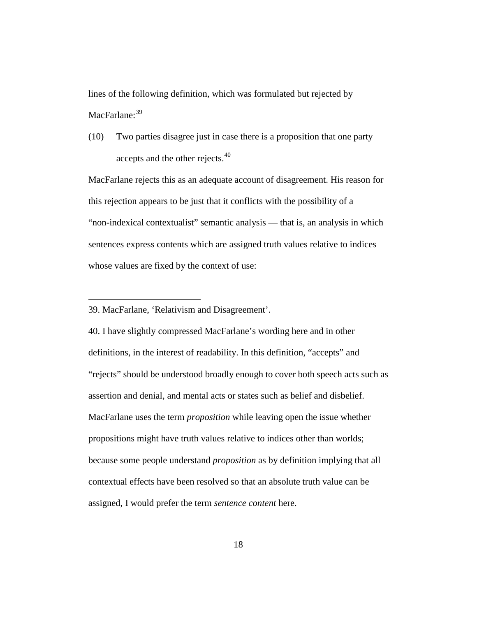lines of the following definition, which was formulated but rejected by MacFarlane:<sup>[39](#page-37-0)</sup>

(10) Two parties disagree just in case there is a proposition that one party accepts and the other rejects.<sup>[40](#page-37-1)</sup>

MacFarlane rejects this as an adequate account of disagreement. His reason for this rejection appears to be just that it conflicts with the possibility of a "non-indexical contextualist" semantic analysis — that is, an analysis in which sentences express contents which are assigned truth values relative to indices whose values are fixed by the context of use:

 $\overline{a}$ 

<span id="page-37-1"></span>40. I have slightly compressed MacFarlane's wording here and in other definitions, in the interest of readability. In this definition, "accepts" and "rejects" should be understood broadly enough to cover both speech acts such as assertion and denial, and mental acts or states such as belief and disbelief. MacFarlane uses the term *proposition* while leaving open the issue whether propositions might have truth values relative to indices other than worlds; because some people understand *proposition* as by definition implying that all contextual effects have been resolved so that an absolute truth value can be assigned, I would prefer the term *sentence content* here.

<span id="page-37-0"></span><sup>39.</sup> MacFarlane, 'Relativism and Disagreement'.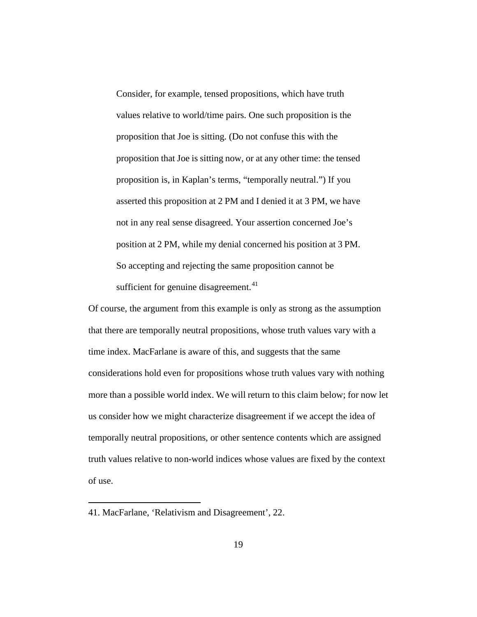Consider, for example, tensed propositions, which have truth values relative to world/time pairs. One such proposition is the proposition that Joe is sitting. (Do not confuse this with the proposition that Joe is sitting now, or at any other time: the tensed proposition is, in Kaplan's terms, "temporally neutral.") If you asserted this proposition at 2 PM and I denied it at 3 PM, we have not in any real sense disagreed. Your assertion concerned Joe's position at 2 PM, while my denial concerned his position at 3 PM. So accepting and rejecting the same proposition cannot be sufficient for genuine disagreement. $41$ 

Of course, the argument from this example is only as strong as the assumption that there are temporally neutral propositions, whose truth values vary with a time index. MacFarlane is aware of this, and suggests that the same considerations hold even for propositions whose truth values vary with nothing more than a possible world index. We will return to this claim below; for now let us consider how we might characterize disagreement if we accept the idea of temporally neutral propositions, or other sentence contents which are assigned truth values relative to non-world indices whose values are fixed by the context of use.

<span id="page-38-0"></span><sup>41.</sup> MacFarlane, 'Relativism and Disagreement', 22.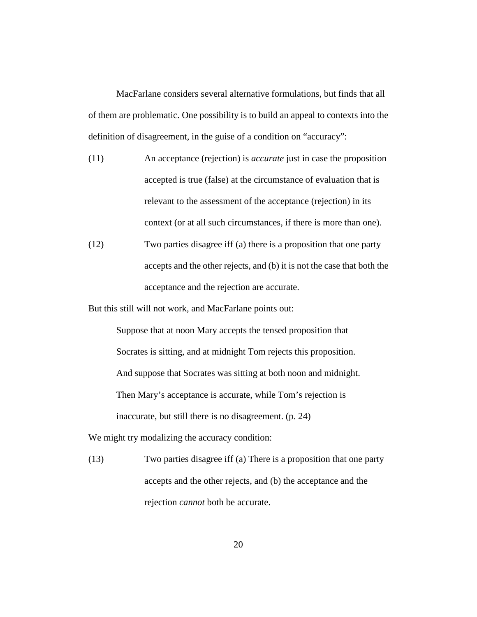MacFarlane considers several alternative formulations, but finds that all of them are problematic. One possibility is to build an appeal to contexts into the definition of disagreement, in the guise of a condition on "accuracy":

- (11) An acceptance (rejection) is *accurate* just in case the proposition accepted is true (false) at the circumstance of evaluation that is relevant to the assessment of the acceptance (rejection) in its context (or at all such circumstances, if there is more than one).
- (12) Two parties disagree iff (a) there is a proposition that one party accepts and the other rejects, and (b) it is not the case that both the acceptance and the rejection are accurate.

But this still will not work, and MacFarlane points out:

Suppose that at noon Mary accepts the tensed proposition that Socrates is sitting, and at midnight Tom rejects this proposition. And suppose that Socrates was sitting at both noon and midnight. Then Mary's acceptance is accurate, while Tom's rejection is inaccurate, but still there is no disagreement. (p. 24)

We might try modalizing the accuracy condition:

(13) Two parties disagree iff (a) There is a proposition that one party accepts and the other rejects, and (b) the acceptance and the rejection *cannot* both be accurate.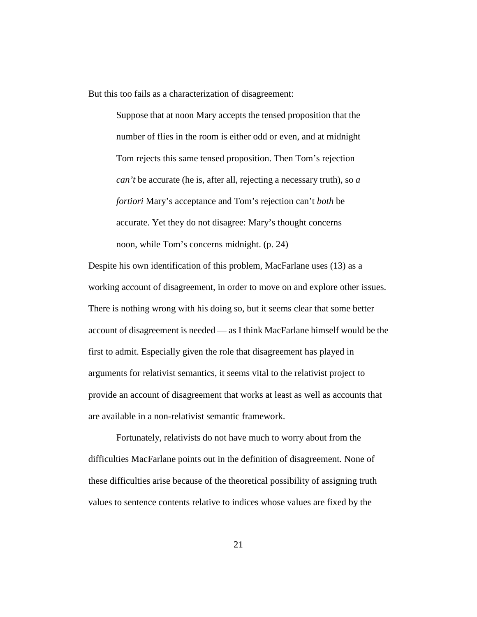But this too fails as a characterization of disagreement:

Suppose that at noon Mary accepts the tensed proposition that the number of flies in the room is either odd or even, and at midnight Tom rejects this same tensed proposition. Then Tom's rejection *can't* be accurate (he is, after all, rejecting a necessary truth), so *a fortiori* Mary's acceptance and Tom's rejection can't *both* be accurate. Yet they do not disagree: Mary's thought concerns noon, while Tom's concerns midnight. (p. 24)

Despite his own identification of this problem, MacFarlane uses (13) as a working account of disagreement, in order to move on and explore other issues. There is nothing wrong with his doing so, but it seems clear that some better account of disagreement is needed — as I think MacFarlane himself would be the first to admit. Especially given the role that disagreement has played in arguments for relativist semantics, it seems vital to the relativist project to provide an account of disagreement that works at least as well as accounts that are available in a non-relativist semantic framework.

Fortunately, relativists do not have much to worry about from the difficulties MacFarlane points out in the definition of disagreement. None of these difficulties arise because of the theoretical possibility of assigning truth values to sentence contents relative to indices whose values are fixed by the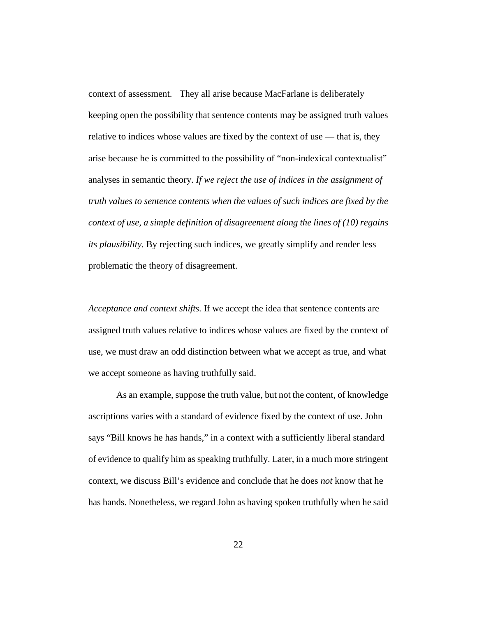context of assessment. They all arise because MacFarlane is deliberately keeping open the possibility that sentence contents may be assigned truth values relative to indices whose values are fixed by the context of use — that is, they arise because he is committed to the possibility of "non-indexical contextualist" analyses in semantic theory. *If we reject the use of indices in the assignment of truth values to sentence contents when the values of such indices are fixed by the context of use, a simple definition of disagreement along the lines of (10) regains its plausibility.* By rejecting such indices, we greatly simplify and render less problematic the theory of disagreement.

*Acceptance and context shifts.* If we accept the idea that sentence contents are assigned truth values relative to indices whose values are fixed by the context of use, we must draw an odd distinction between what we accept as true, and what we accept someone as having truthfully said.

As an example, suppose the truth value, but not the content, of knowledge ascriptions varies with a standard of evidence fixed by the context of use. John says "Bill knows he has hands," in a context with a sufficiently liberal standard of evidence to qualify him as speaking truthfully. Later, in a much more stringent context, we discuss Bill's evidence and conclude that he does *not* know that he has hands. Nonetheless, we regard John as having spoken truthfully when he said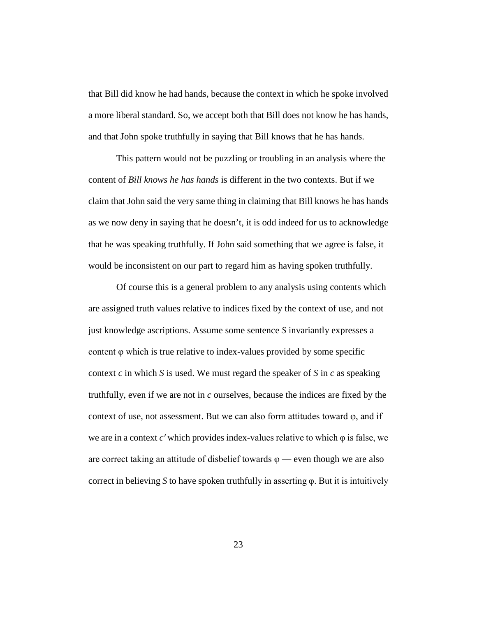that Bill did know he had hands, because the context in which he spoke involved a more liberal standard. So, we accept both that Bill does not know he has hands, and that John spoke truthfully in saying that Bill knows that he has hands.

This pattern would not be puzzling or troubling in an analysis where the content of *Bill knows he has hands* is different in the two contexts. But if we claim that John said the very same thing in claiming that Bill knows he has hands as we now deny in saying that he doesn't, it is odd indeed for us to acknowledge that he was speaking truthfully. If John said something that we agree is false, it would be inconsistent on our part to regard him as having spoken truthfully.

Of course this is a general problem to any analysis using contents which are assigned truth values relative to indices fixed by the context of use, and not just knowledge ascriptions. Assume some sentence *S* invariantly expresses a content φ which is true relative to index-values provided by some specific context *c* in which *S* is used. We must regard the speaker of *S* in *c* as speaking truthfully, even if we are not in *c* ourselves, because the indices are fixed by the context of use, not assessment. But we can also form attitudes toward  $\varphi$ , and if we are in a context *c′* which provides index-values relative to which φ is false, we are correct taking an attitude of disbelief towards  $\varphi$  — even though we are also correct in believing *S* to have spoken truthfully in asserting φ. But it is intuitively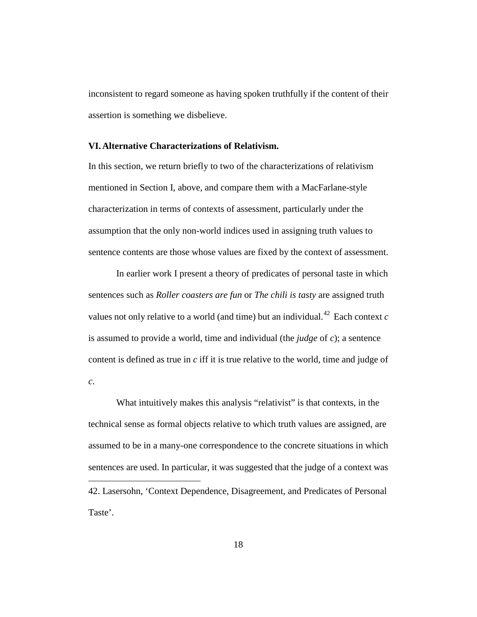inconsistent to regard someone as having spoken truthfully if the content of their assertion is something we disbelieve.

#### **VI.Alternative Characterizations of Relativism.**

In this section, we return briefly to two of the characterizations of relativism mentioned in Section I, above, and compare them with a MacFarlane-style characterization in terms of contexts of assessment, particularly under the assumption that the only non-world indices used in assigning truth values to sentence contents are those whose values are fixed by the context of assessment.

In earlier work I present a theory of predicates of personal taste in which sentences such as *Roller coasters are fun* or *The chili is tasty* are assigned truth values not only relative to a world (and time) but an individual.<sup>[42](#page-43-0)</sup> Each context  $c$ is assumed to provide a world, time and individual (the *judge* of *c*); a sentence content is defined as true in *c* iff it is true relative to the world, time and judge of *c*.

<span id="page-43-0"></span>What intuitively makes this analysis "relativist" is that contexts, in the technical sense as formal objects relative to which truth values are assigned, are assumed to be in a many-one correspondence to the concrete situations in which sentences are used. In particular, it was suggested that the judge of a context was  $\overline{a}$ 42. Lasersohn, 'Context Dependence, Disagreement, and Predicates of Personal Taste'.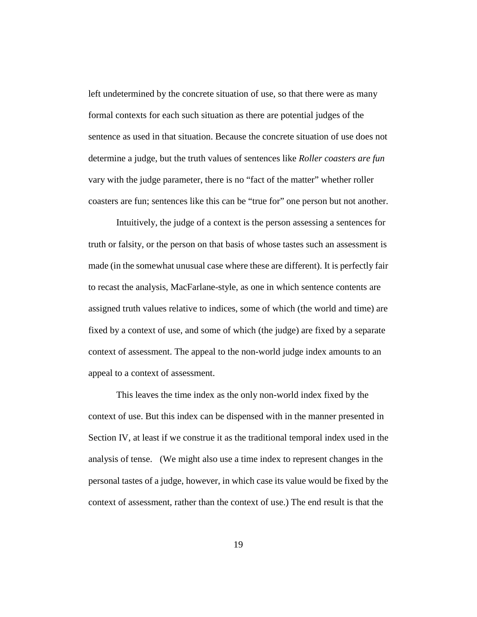left undetermined by the concrete situation of use, so that there were as many formal contexts for each such situation as there are potential judges of the sentence as used in that situation. Because the concrete situation of use does not determine a judge, but the truth values of sentences like *Roller coasters are fun* vary with the judge parameter, there is no "fact of the matter" whether roller coasters are fun; sentences like this can be "true for" one person but not another.

Intuitively, the judge of a context is the person assessing a sentences for truth or falsity, or the person on that basis of whose tastes such an assessment is made (in the somewhat unusual case where these are different). It is perfectly fair to recast the analysis, MacFarlane-style, as one in which sentence contents are assigned truth values relative to indices, some of which (the world and time) are fixed by a context of use, and some of which (the judge) are fixed by a separate context of assessment. The appeal to the non-world judge index amounts to an appeal to a context of assessment.

This leaves the time index as the only non-world index fixed by the context of use. But this index can be dispensed with in the manner presented in Section IV, at least if we construe it as the traditional temporal index used in the analysis of tense. (We might also use a time index to represent changes in the personal tastes of a judge, however, in which case its value would be fixed by the context of assessment, rather than the context of use.) The end result is that the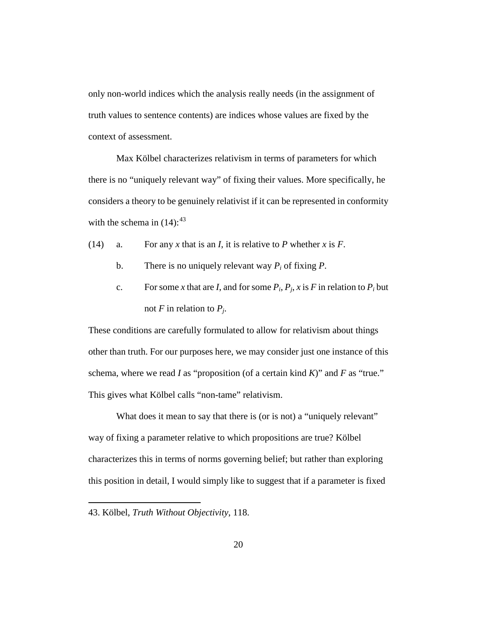only non-world indices which the analysis really needs (in the assignment of truth values to sentence contents) are indices whose values are fixed by the context of assessment.

Max Kölbel characterizes relativism in terms of parameters for which there is no "uniquely relevant way" of fixing their values. More specifically, he considers a theory to be genuinely relativist if it can be represented in conformity with the schema in  $(14)$ :  $43$ 

- (14) a. For any *x* that is an *I*, it is relative to *P* whether *x* is *F*.
	- b. There is no uniquely relevant way  $P_i$  of fixing  $P$ .
	- c. For some *x* that are *I*, and for some  $P_i$ ,  $P_j$ ,  $x$  is  $F$  in relation to  $P_i$  but not  $F$  in relation to  $P_i$ .

These conditions are carefully formulated to allow for relativism about things other than truth. For our purposes here, we may consider just one instance of this schema, where we read *I* as "proposition (of a certain kind *K*)" and *F* as "true." This gives what Kölbel calls "non-tame" relativism.

What does it mean to say that there is (or is not) a "uniquely relevant" way of fixing a parameter relative to which propositions are true? Kölbel characterizes this in terms of norms governing belief; but rather than exploring this position in detail, I would simply like to suggest that if a parameter is fixed

<span id="page-45-0"></span><sup>43.</sup> Kölbel, *Truth Without Objectivity*, 118.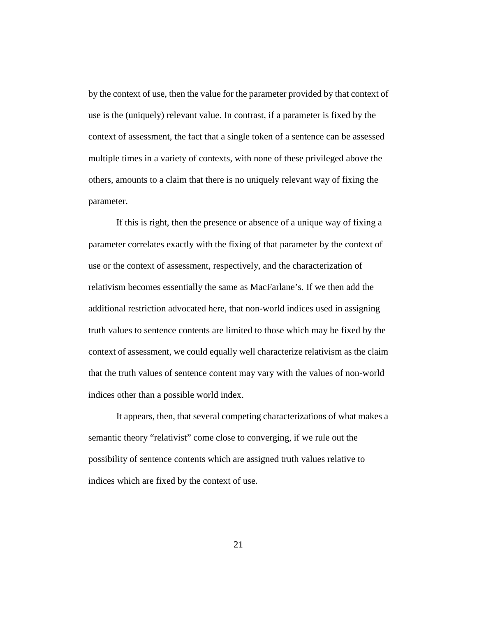by the context of use, then the value for the parameter provided by that context of use is the (uniquely) relevant value. In contrast, if a parameter is fixed by the context of assessment, the fact that a single token of a sentence can be assessed multiple times in a variety of contexts, with none of these privileged above the others, amounts to a claim that there is no uniquely relevant way of fixing the parameter.

If this is right, then the presence or absence of a unique way of fixing a parameter correlates exactly with the fixing of that parameter by the context of use or the context of assessment, respectively, and the characterization of relativism becomes essentially the same as MacFarlane's. If we then add the additional restriction advocated here, that non-world indices used in assigning truth values to sentence contents are limited to those which may be fixed by the context of assessment, we could equally well characterize relativism as the claim that the truth values of sentence content may vary with the values of non-world indices other than a possible world index.

It appears, then, that several competing characterizations of what makes a semantic theory "relativist" come close to converging, if we rule out the possibility of sentence contents which are assigned truth values relative to indices which are fixed by the context of use.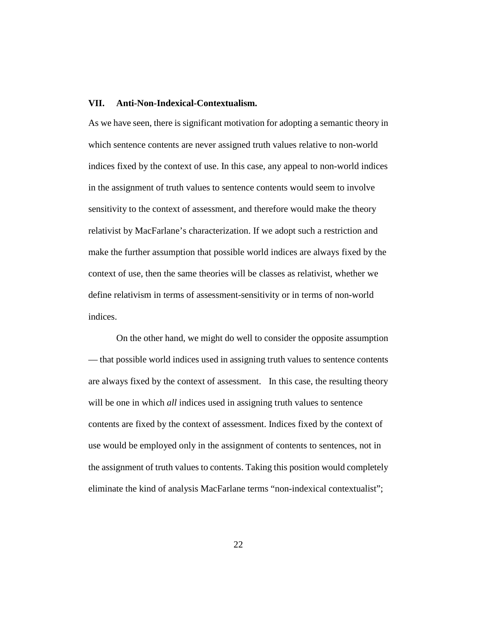#### **VII. Anti-Non-Indexical-Contextualism.**

As we have seen, there is significant motivation for adopting a semantic theory in which sentence contents are never assigned truth values relative to non-world indices fixed by the context of use. In this case, any appeal to non-world indices in the assignment of truth values to sentence contents would seem to involve sensitivity to the context of assessment, and therefore would make the theory relativist by MacFarlane's characterization. If we adopt such a restriction and make the further assumption that possible world indices are always fixed by the context of use, then the same theories will be classes as relativist, whether we define relativism in terms of assessment-sensitivity or in terms of non-world indices.

On the other hand, we might do well to consider the opposite assumption — that possible world indices used in assigning truth values to sentence contents are always fixed by the context of assessment. In this case, the resulting theory will be one in which *all* indices used in assigning truth values to sentence contents are fixed by the context of assessment. Indices fixed by the context of use would be employed only in the assignment of contents to sentences, not in the assignment of truth values to contents. Taking this position would completely eliminate the kind of analysis MacFarlane terms "non-indexical contextualist";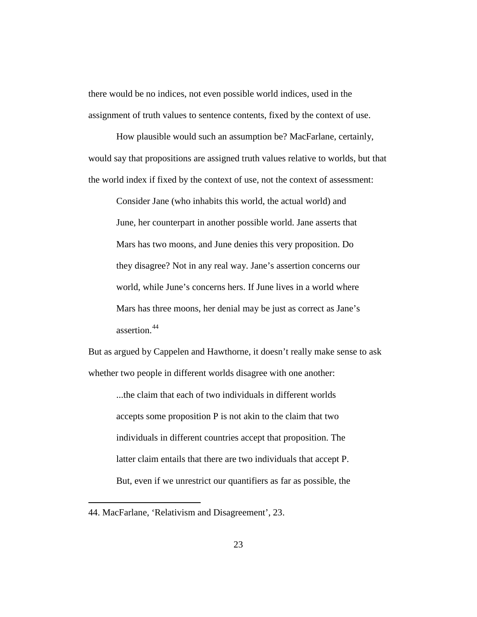there would be no indices, not even possible world indices, used in the assignment of truth values to sentence contents, fixed by the context of use.

How plausible would such an assumption be? MacFarlane, certainly, would say that propositions are assigned truth values relative to worlds, but that the world index if fixed by the context of use, not the context of assessment:

Consider Jane (who inhabits this world, the actual world) and June, her counterpart in another possible world. Jane asserts that Mars has two moons, and June denies this very proposition. Do they disagree? Not in any real way. Jane's assertion concerns our world, while June's concerns hers. If June lives in a world where Mars has three moons, her denial may be just as correct as Jane's assertion.[44](#page-48-0)

But as argued by Cappelen and Hawthorne, it doesn't really make sense to ask whether two people in different worlds disagree with one another:

...the claim that each of two individuals in different worlds accepts some proposition P is not akin to the claim that two individuals in different countries accept that proposition. The latter claim entails that there are two individuals that accept P. But, even if we unrestrict our quantifiers as far as possible, the

<span id="page-48-0"></span><sup>44.</sup> MacFarlane, 'Relativism and Disagreement', 23.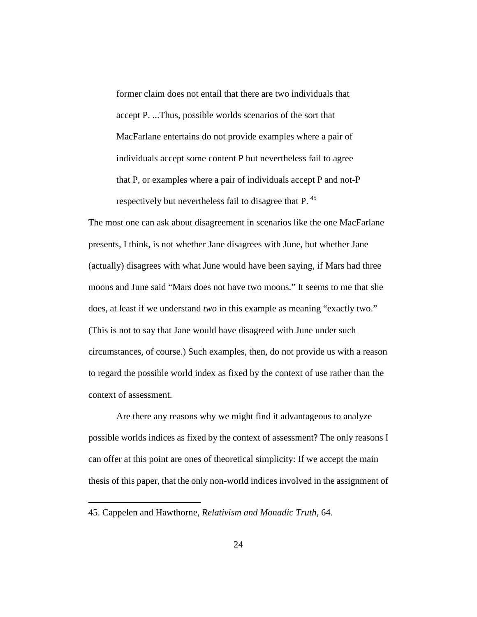former claim does not entail that there are two individuals that accept P. ...Thus, possible worlds scenarios of the sort that MacFarlane entertains do not provide examples where a pair of individuals accept some content P but nevertheless fail to agree that P, or examples where a pair of individuals accept P and not-P respectively but nevertheless fail to disagree that P.<sup>[45](#page-49-0)</sup>

The most one can ask about disagreement in scenarios like the one MacFarlane presents, I think, is not whether Jane disagrees with June, but whether Jane (actually) disagrees with what June would have been saying, if Mars had three moons and June said "Mars does not have two moons." It seems to me that she does, at least if we understand *two* in this example as meaning "exactly two." (This is not to say that Jane would have disagreed with June under such circumstances, of course.) Such examples, then, do not provide us with a reason to regard the possible world index as fixed by the context of use rather than the context of assessment.

Are there any reasons why we might find it advantageous to analyze possible worlds indices as fixed by the context of assessment? The only reasons I can offer at this point are ones of theoretical simplicity: If we accept the main thesis of this paper, that the only non-world indices involved in the assignment of

<span id="page-49-0"></span><sup>45.</sup> Cappelen and Hawthorne, *Relativism and Monadic Truth*, 64.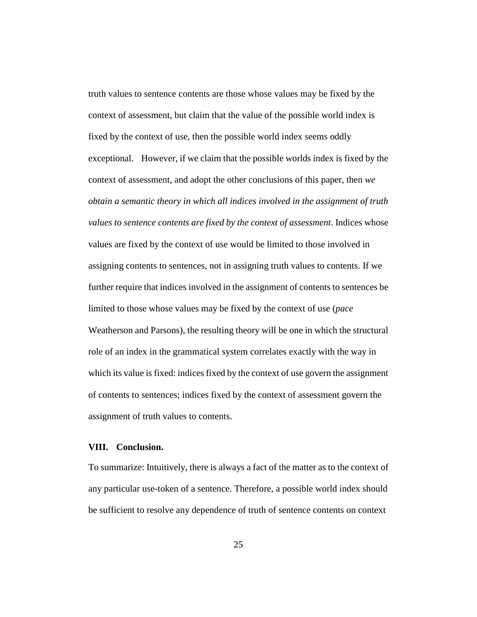truth values to sentence contents are those whose values may be fixed by the context of assessment, but claim that the value of the possible world index is fixed by the context of use, then the possible world index seems oddly exceptional. However, if we claim that the possible worlds index is fixed by the context of assessment, and adopt the other conclusions of this paper, then *we obtain a semantic theory in which all indices involved in the assignment of truth values to sentence contents are fixed by the context of assessment*. Indices whose values are fixed by the context of use would be limited to those involved in assigning contents to sentences, not in assigning truth values to contents. If we further require that indices involved in the assignment of contents to sentences be limited to those whose values may be fixed by the context of use (*pace* Weatherson and Parsons), the resulting theory will be one in which the structural role of an index in the grammatical system correlates exactly with the way in which its value is fixed: indices fixed by the context of use govern the assignment of contents to sentences; indices fixed by the context of assessment govern the assignment of truth values to contents.

## **VIII. Conclusion.**

To summarize: Intuitively, there is always a fact of the matter as to the context of any particular use-token of a sentence. Therefore, a possible world index should be sufficient to resolve any dependence of truth of sentence contents on context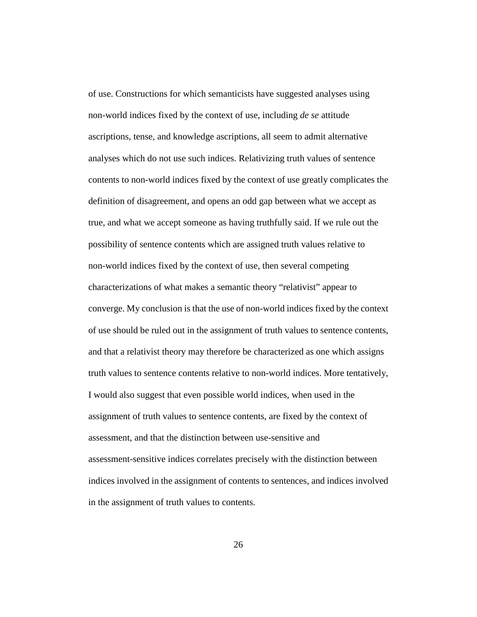of use. Constructions for which semanticists have suggested analyses using non-world indices fixed by the context of use, including *de se* attitude ascriptions, tense, and knowledge ascriptions, all seem to admit alternative analyses which do not use such indices. Relativizing truth values of sentence contents to non-world indices fixed by the context of use greatly complicates the definition of disagreement, and opens an odd gap between what we accept as true, and what we accept someone as having truthfully said. If we rule out the possibility of sentence contents which are assigned truth values relative to non-world indices fixed by the context of use, then several competing characterizations of what makes a semantic theory "relativist" appear to converge. My conclusion is that the use of non-world indices fixed by the context of use should be ruled out in the assignment of truth values to sentence contents, and that a relativist theory may therefore be characterized as one which assigns truth values to sentence contents relative to non-world indices. More tentatively, I would also suggest that even possible world indices, when used in the assignment of truth values to sentence contents, are fixed by the context of assessment, and that the distinction between use-sensitive and assessment-sensitive indices correlates precisely with the distinction between indices involved in the assignment of contents to sentences, and indices involved in the assignment of truth values to contents.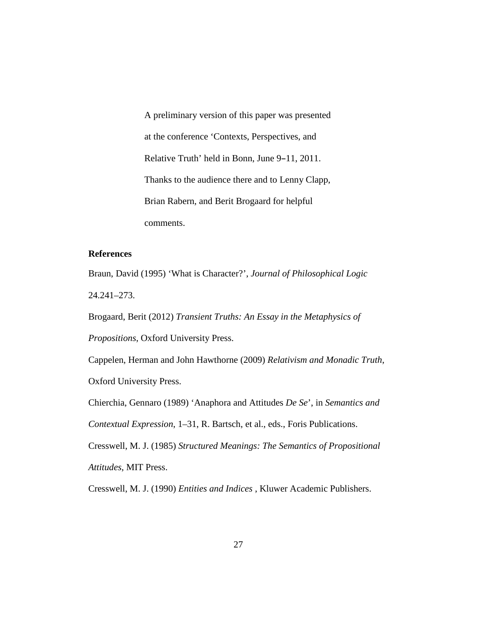A preliminary version of this paper was presented at the conference 'Contexts, Perspectives, and Relative Truth' held in Bonn, June 9-11, 2011. Thanks to the audience there and to Lenny Clapp, Brian Rabern, and Berit Brogaard for helpful comments.

## **References**

Braun, David (1995) 'What is Character?', *Journal of Philosophical Logic* 24.241–273.

Brogaard, Berit (2012) *Transient Truths: An Essay in the Metaphysics of Propositions*, Oxford University Press.

Cappelen, Herman and John Hawthorne (2009) *Relativism and Monadic Truth*, Oxford University Press.

Chierchia, Gennaro (1989) 'Anaphora and Attitudes *De Se*', in *Semantics and Contextual Expression*, 1–31, R. Bartsch, et al., eds., Foris Publications.

Cresswell, M. J. (1985) *Structured Meanings: The Semantics of Propositional Attitudes*, MIT Press.

Cresswell, M. J. (1990) *Entities and Indices* , Kluwer Academic Publishers.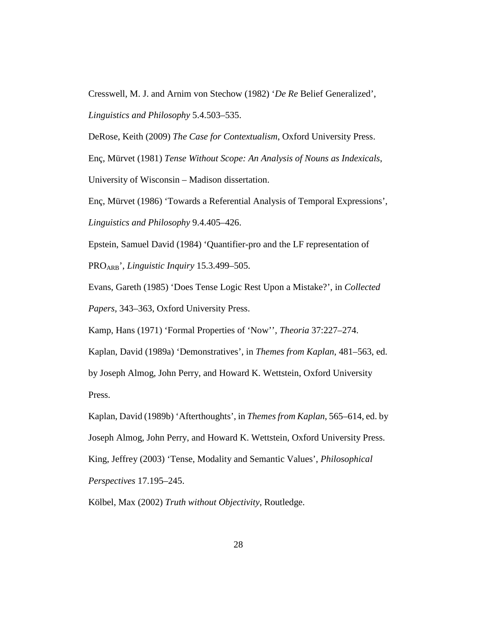Cresswell, M. J. and Arnim von Stechow (1982) '*De Re* Belief Generalized', *Linguistics and Philosophy* 5.4.503–535.

DeRose, Keith (2009) *The Case for Contextualism*, Oxford University Press.

Enç, Mürvet (1981) *Tense Without Scope: An Analysis of Nouns as Indexicals*, University of Wisconsin – Madison dissertation.

Enç, Mürvet (1986) 'Towards a Referential Analysis of Temporal Expressions', *Linguistics and Philosophy* 9.4.405–426.

Epstein, Samuel David (1984) 'Quantifier-pro and the LF representation of PROARB', *Linguistic Inquiry* 15.3.499–505.

Evans, Gareth (1985) 'Does Tense Logic Rest Upon a Mistake?', in *Collected Papers*, 343–363, Oxford University Press.

Kamp, Hans (1971) 'Formal Properties of 'Now'', *Theoria* 37:227–274.

Kaplan, David (1989a) 'Demonstratives', in *Themes from Kaplan*, 481–563, ed. by Joseph Almog, John Perry, and Howard K. Wettstein, Oxford University Press.

Kaplan, David (1989b) 'Afterthoughts', in *Themes from Kaplan*, 565–614, ed. by Joseph Almog, John Perry, and Howard K. Wettstein, Oxford University Press. King, Jeffrey (2003) 'Tense, Modality and Semantic Values', *Philosophical Perspectives* 17.195–245.

Kölbel, Max (2002) *Truth without Objectivity*, Routledge.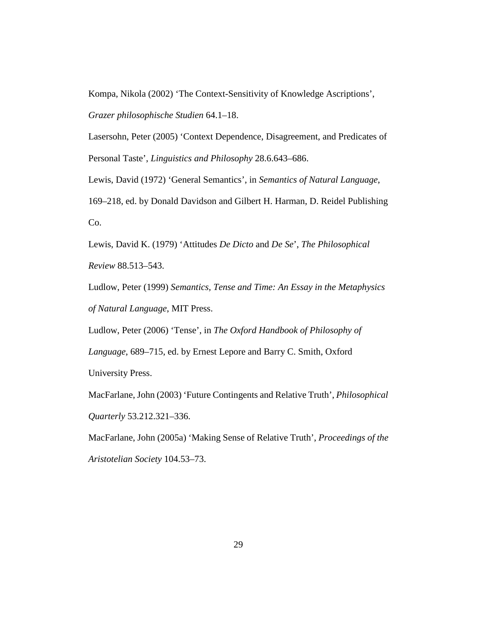Kompa, Nikola (2002) 'The Context-Sensitivity of Knowledge Ascriptions', *Grazer philosophische Studien* 64.1–18.

Lasersohn, Peter (2005) 'Context Dependence, Disagreement, and Predicates of Personal Taste', *Linguistics and Philosophy* 28.6.643–686.

Lewis, David (1972) 'General Semantics', in *Semantics of Natural Language*,

169–218, ed. by Donald Davidson and Gilbert H. Harman, D. Reidel Publishing Co.

Lewis, David K. (1979) 'Attitudes *De Dicto* and *De Se*', *The Philosophical Review* 88.513–543.

Ludlow, Peter (1999) *Semantics, Tense and Time: An Essay in the Metaphysics of Natural Language*, MIT Press.

Ludlow, Peter (2006) 'Tense', in *The Oxford Handbook of Philosophy of* 

*Language*, 689–715, ed. by Ernest Lepore and Barry C. Smith, Oxford

University Press.

MacFarlane, John (2003) 'Future Contingents and Relative Truth', *Philosophical Quarterly* 53.212.321–336.

MacFarlane, John (2005a) 'Making Sense of Relative Truth', *Proceedings of the Aristotelian Society* 104.53–73.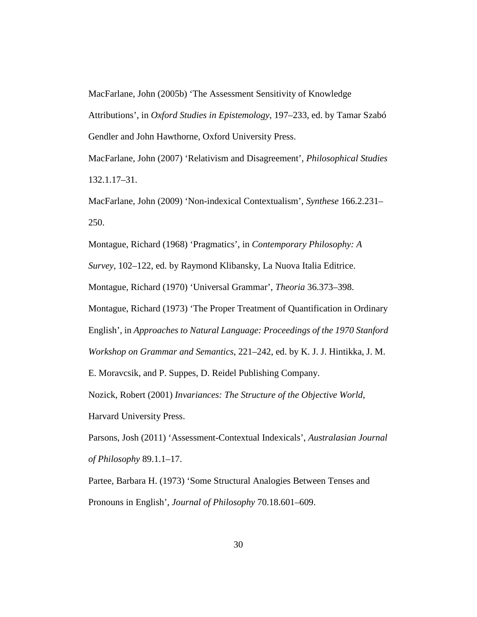MacFarlane, John (2005b) 'The Assessment Sensitivity of Knowledge

Attributions', in *Oxford Studies in Epistemology*, 197–233, ed. by Tamar Szabó Gendler and John Hawthorne, Oxford University Press.

MacFarlane, John (2007) 'Relativism and Disagreement', *Philosophical Studies* 132.1.17–31.

MacFarlane, John (2009) 'Non-indexical Contextualism', *Synthese* 166.2.231– 250.

Montague, Richard (1968) 'Pragmatics', in *Contemporary Philosophy: A* 

*Survey*, 102–122, ed. by Raymond Klibansky, La Nuova Italia Editrice.

Montague, Richard (1970) 'Universal Grammar', *Theoria* 36.373–398.

Montague, Richard (1973) 'The Proper Treatment of Quantification in Ordinary English', in *Approaches to Natural Language: Proceedings of the 1970 Stanford* 

*Workshop on Grammar and Semantics*, 221–242, ed. by K. J. J. Hintikka, J. M.

E. Moravcsik, and P. Suppes, D. Reidel Publishing Company.

Nozick, Robert (2001) *Invariances: The Structure of the Objective World*,

Harvard University Press.

Parsons, Josh (2011) 'Assessment-Contextual Indexicals', *Australasian Journal of Philosophy* 89.1.1–17.

Partee, Barbara H. (1973) 'Some Structural Analogies Between Tenses and Pronouns in English', *Journal of Philosophy* 70.18.601–609.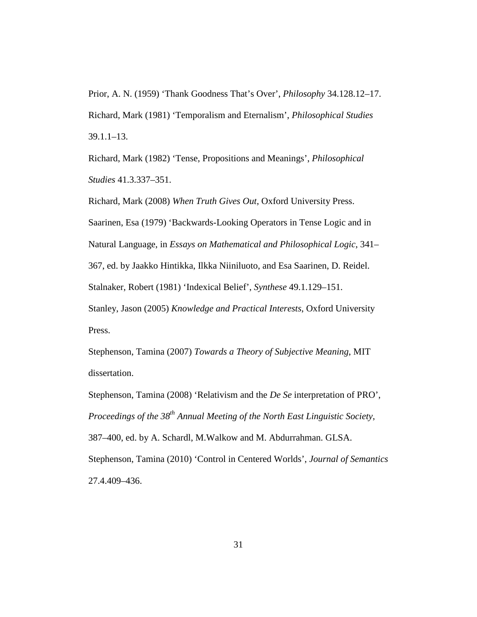Prior, A. N. (1959) 'Thank Goodness That's Over', *Philosophy* 34.128.12–17. Richard, Mark (1981) 'Temporalism and Eternalism', *Philosophical Studies* 39.1.1–13.

Richard, Mark (1982) 'Tense, Propositions and Meanings', *Philosophical Studies* 41.3.337–351.

Richard, Mark (2008) *When Truth Gives Out*, Oxford University Press. Saarinen, Esa (1979) 'Backwards-Looking Operators in Tense Logic and in Natural Language, in *Essays on Mathematical and Philosophical Logic*, 341– 367, ed. by Jaakko Hintikka, Ilkka Niiniluoto, and Esa Saarinen, D. Reidel. Stalnaker, Robert (1981) 'Indexical Belief', *Synthese* 49.1.129–151. Stanley, Jason (2005) *Knowledge and Practical Interests*, Oxford University Press.

Stephenson, Tamina (2007) *Towards a Theory of Subjective Meaning*, MIT dissertation.

Stephenson, Tamina (2008) 'Relativism and the *De Se* interpretation of PRO', *Proceedings of the 38th Annual Meeting of the North East Linguistic Society*, 387–400, ed. by A. Schardl, M.Walkow and M. Abdurrahman. GLSA. Stephenson, Tamina (2010) 'Control in Centered Worlds', *Journal of Semantics* 27.4.409–436.